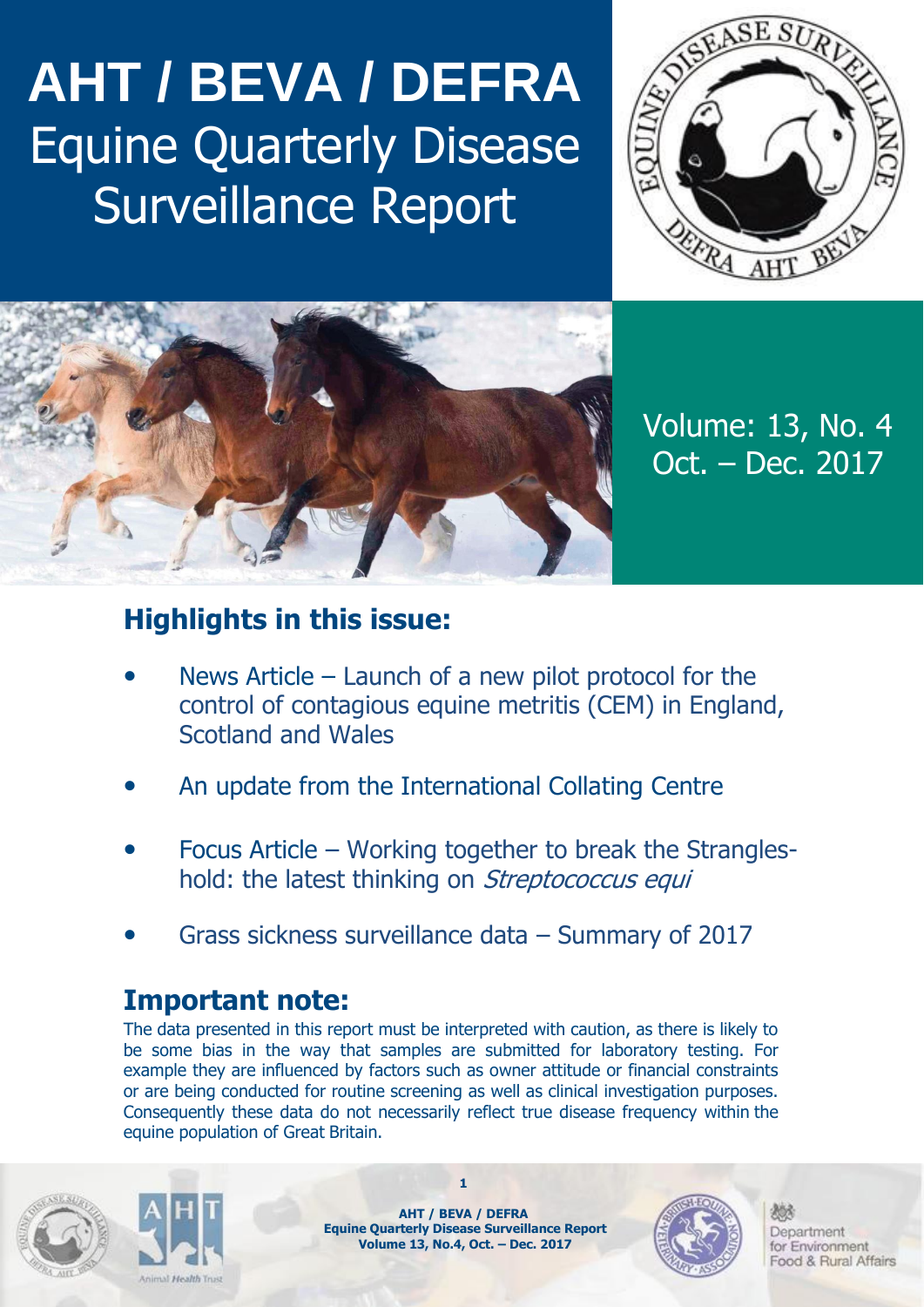## **AHT / BEVA / DEFRA** Equine Quarterly Disease Surveillance Report





Volume: 13, No. 4 Oct. – Dec. 2017

## **Highlights in this issue:**

- News Article Launch of a new pilot protocol for the control of contagious equine metritis (CEM) in England, Scotland and Wales
- An update from the International Collating Centre
- Focus Article Working together to break the Strangleshold: the latest thinking on *Streptococcus equi*
- Grass sickness surveillance data Summary of 2017

## **Important note:**

The data presented in this report must be interpreted with caution, as there is likely to be some bias in the way that samples are submitted for laboratory testing. For example they are influenced by factors such as owner attitude or financial constraints or are being conducted for routine screening as well as clinical investigation purposes. Consequently these data do not necessarily reflect true disease frequency within the equine population of Great Britain.





**AHT / BEVA / DEFRA Equine Quarterly Disease Surveillance Report Volume 13, No.4, Oct. – Dec. 2017**

**1**

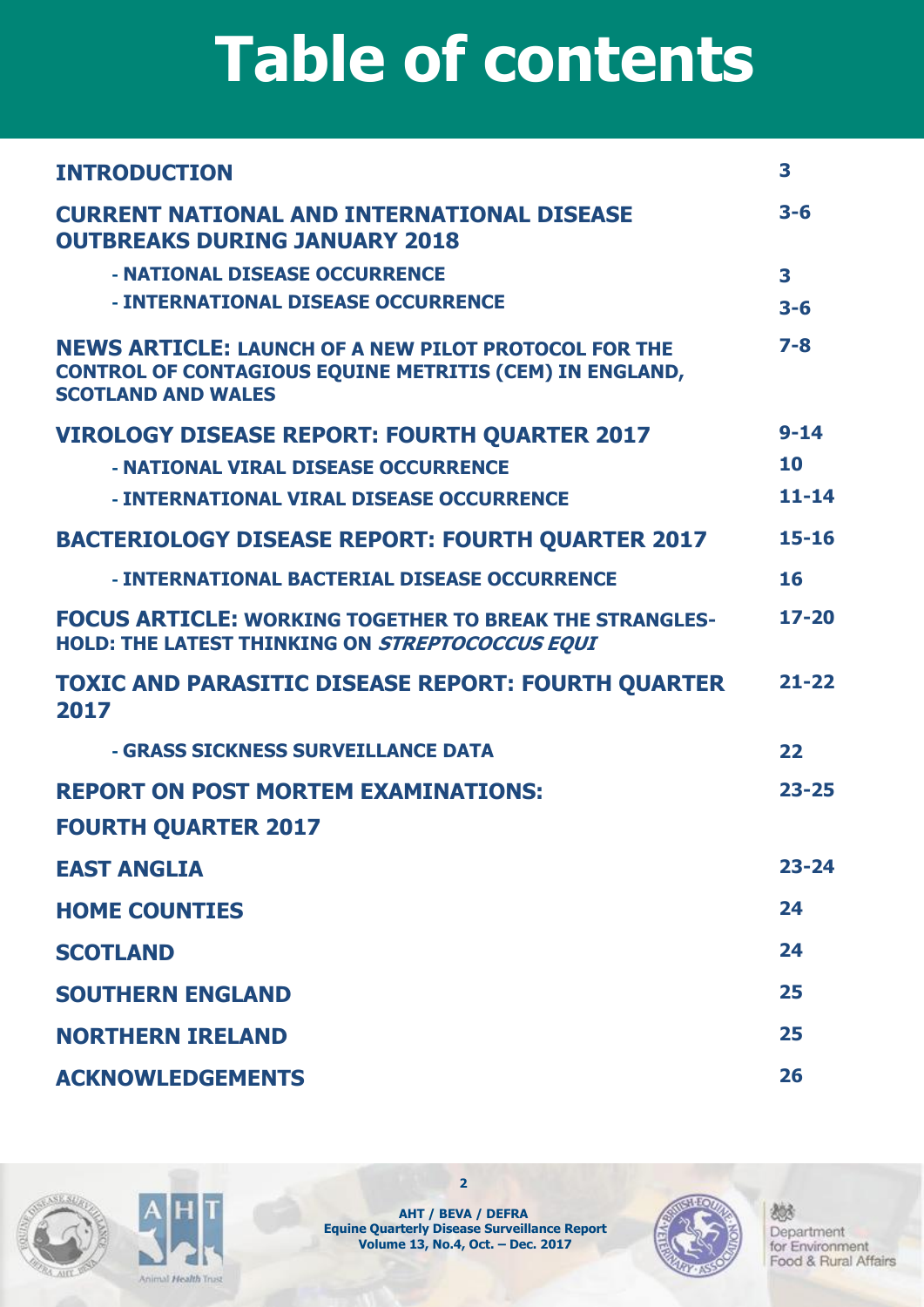## **Table of contents**

| <b>INTRODUCTION</b>                                                                                                                                        | 3         |
|------------------------------------------------------------------------------------------------------------------------------------------------------------|-----------|
| <b>CURRENT NATIONAL AND INTERNATIONAL DISEASE</b><br><b>OUTBREAKS DURING JANUARY 2018</b>                                                                  | $3 - 6$   |
| - NATIONAL DISEASE OCCURRENCE                                                                                                                              | 3         |
| - INTERNATIONAL DISEASE OCCURRENCE                                                                                                                         | $3 - 6$   |
| <b>NEWS ARTICLE: LAUNCH OF A NEW PILOT PROTOCOL FOR THE</b><br><b>CONTROL OF CONTAGIOUS EQUINE METRITIS (CEM) IN ENGLAND,</b><br><b>SCOTLAND AND WALES</b> | $7 - 8$   |
| <b>VIROLOGY DISEASE REPORT: FOURTH QUARTER 2017</b>                                                                                                        | $9 - 14$  |
| - NATIONAL VIRAL DISEASE OCCURRENCE                                                                                                                        | 10        |
| - INTERNATIONAL VIRAL DISEASE OCCURRENCE                                                                                                                   | $11 - 14$ |
| <b>BACTERIOLOGY DISEASE REPORT: FOURTH QUARTER 2017</b>                                                                                                    | $15 - 16$ |
| - INTERNATIONAL BACTERIAL DISEASE OCCURRENCE                                                                                                               | 16        |
| <b>FOCUS ARTICLE: WORKING TOGETHER TO BREAK THE STRANGLES-</b><br>HOLD: THE LATEST THINKING ON STREPTOCOCCUS EQUI                                          | $17 - 20$ |
| <b>TOXIC AND PARASITIC DISEASE REPORT: FOURTH QUARTER</b><br>2017                                                                                          | $21 - 22$ |
| - GRASS SICKNESS SURVEILLANCE DATA                                                                                                                         | 22        |
| <b>REPORT ON POST MORTEM EXAMINATIONS:</b>                                                                                                                 | $23 - 25$ |
| <b>FOURTH QUARTER 2017</b>                                                                                                                                 |           |
| <b>EAST ANGLIA</b>                                                                                                                                         | $23 - 24$ |
| <b>HOME COUNTIES</b>                                                                                                                                       | 24        |
| <b>SCOTLAND</b>                                                                                                                                            | 24        |
| <b>SOUTHERN ENGLAND</b>                                                                                                                                    | 25        |
| <b>NORTHERN IRELAND</b>                                                                                                                                    | 25        |
| <b>ACKNOWLEDGEMENTS</b>                                                                                                                                    | 26        |





**AHT / BEVA / DEFRA Equine Quarterly Disease Surveillance Report Volume 13, No.4, Oct. – Dec. 2017**

**2**

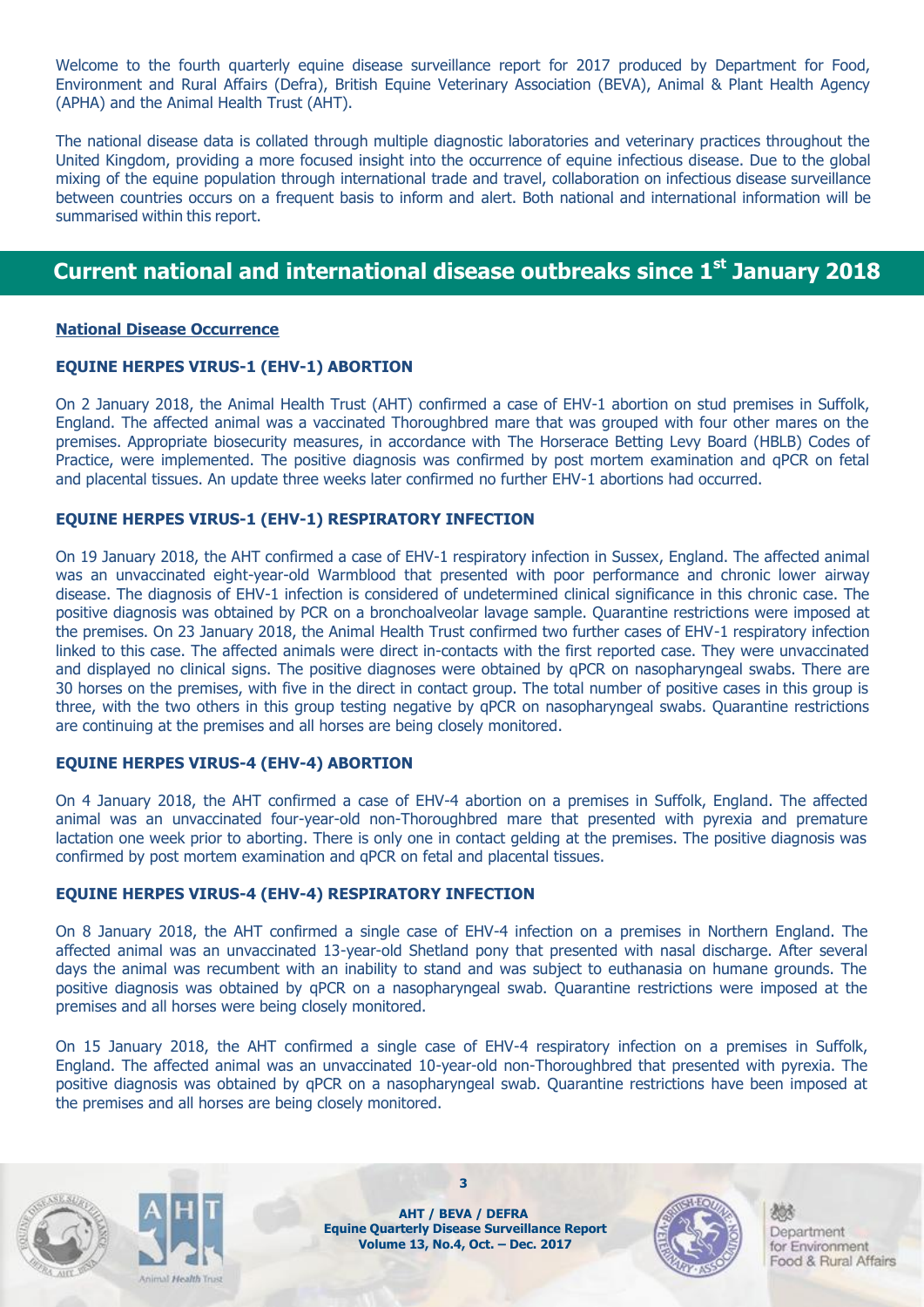Welcome to the fourth quarterly equine disease surveillance report for 2017 produced by Department for Food, Environment and Rural Affairs (Defra), British Equine Veterinary Association (BEVA), Animal & Plant Health Agency (APHA) and the Animal Health Trust (AHT).

The national disease data is collated through multiple diagnostic laboratories and veterinary practices throughout the United Kingdom, providing a more focused insight into the occurrence of equine infectious disease. Due to the global mixing of the equine population through international trade and travel, collaboration on infectious disease surveillance between countries occurs on a frequent basis to inform and alert. Both national and international information will be summarised within this report.

### **Current national and international disease outbreaks since 1 st January 2018**

#### **National Disease Occurrence**

#### **EQUINE HERPES VIRUS-1 (EHV-1) ABORTION**

On 2 January 2018, the Animal Health Trust (AHT) confirmed a case of EHV-1 abortion on stud premises in Suffolk, England. The affected animal was a vaccinated Thoroughbred mare that was grouped with four other mares on the premises. Appropriate biosecurity measures, in accordance with The Horserace Betting Levy Board (HBLB) Codes of Practice, were implemented. The positive diagnosis was confirmed by post mortem examination and qPCR on fetal and placental tissues. An update three weeks later confirmed no further EHV-1 abortions had occurred.

#### **EQUINE HERPES VIRUS-1 (EHV-1) RESPIRATORY INFECTION**

On 19 January 2018, the AHT confirmed a case of EHV-1 respiratory infection in Sussex, England. The affected animal was an unvaccinated eight-year-old Warmblood that presented with poor performance and chronic lower airway disease. The diagnosis of EHV-1 infection is considered of undetermined clinical significance in this chronic case. The positive diagnosis was obtained by PCR on a bronchoalveolar lavage sample. Quarantine restrictions were imposed at the premises. On 23 January 2018, the Animal Health Trust confirmed two further cases of EHV-1 respiratory infection linked to this case. The affected animals were direct in-contacts with the first reported case. They were unvaccinated and displayed no clinical signs. The positive diagnoses were obtained by qPCR on nasopharyngeal swabs. There are 30 horses on the premises, with five in the direct in contact group. The total number of positive cases in this group is three, with the two others in this group testing negative by qPCR on nasopharyngeal swabs. Quarantine restrictions are continuing at the premises and all horses are being closely monitored.

#### **EQUINE HERPES VIRUS-4 (EHV-4) ABORTION**

On 4 January 2018, the AHT confirmed a case of EHV-4 abortion on a premises in Suffolk, England. The affected animal was an unvaccinated four-year-old non-Thoroughbred mare that presented with pyrexia and premature lactation one week prior to aborting. There is only one in contact gelding at the premises. The positive diagnosis was confirmed by post mortem examination and qPCR on fetal and placental tissues.

#### **EQUINE HERPES VIRUS-4 (EHV-4) RESPIRATORY INFECTION**

On 8 January 2018, the AHT confirmed a single case of EHV-4 infection on a premises in Northern England. The affected animal was an unvaccinated 13-year-old Shetland pony that presented with nasal discharge. After several days the animal was recumbent with an inability to stand and was subject to euthanasia on humane grounds. The positive diagnosis was obtained by qPCR on a nasopharyngeal swab. Quarantine restrictions were imposed at the premises and all horses were being closely monitored.

On 15 January 2018, the AHT confirmed a single case of EHV-4 respiratory infection on a premises in Suffolk, England. The affected animal was an unvaccinated 10-year-old non-Thoroughbred that presented with pyrexia. The positive diagnosis was obtained by qPCR on a nasopharyngeal swab. Quarantine restrictions have been imposed at the premises and all horses are being closely monitored.





**AHT / BEVA / DEFRA Equine Quarterly Disease Surveillance Report Volume 13, No.4, Oct. – Dec. 2017**

**3**

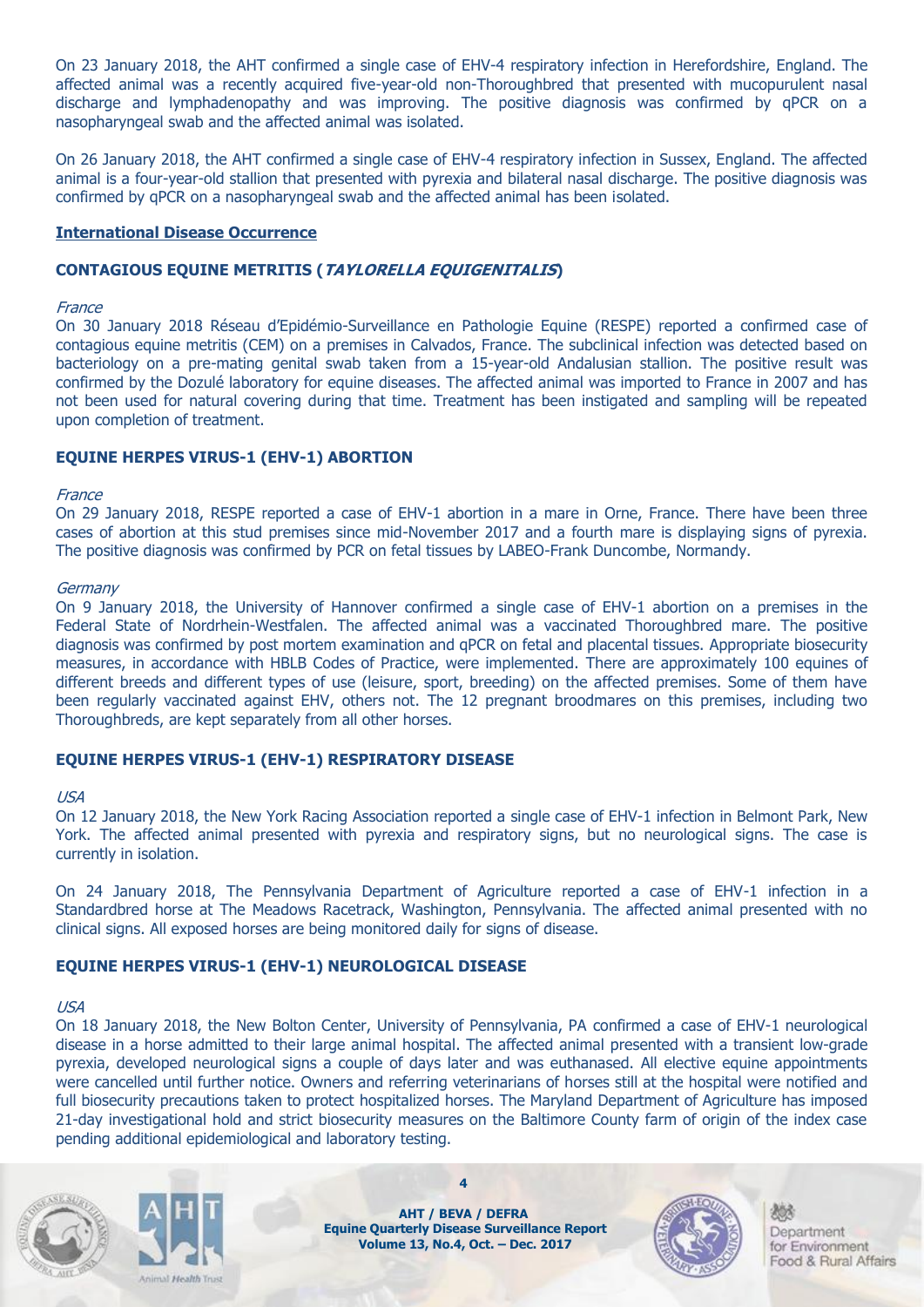On 23 January 2018, the AHT confirmed a single case of EHV-4 respiratory infection in Herefordshire, England. The affected animal was a recently acquired five-year-old non-Thoroughbred that presented with mucopurulent nasal discharge and lymphadenopathy and was improving. The positive diagnosis was confirmed by qPCR on a nasopharyngeal swab and the affected animal was isolated.

On 26 January 2018, the AHT confirmed a single case of EHV-4 respiratory infection in Sussex, England. The affected animal is a four-year-old stallion that presented with pyrexia and bilateral nasal discharge. The positive diagnosis was confirmed by qPCR on a nasopharyngeal swab and the affected animal has been isolated.

#### **International Disease Occurrence**

#### **CONTAGIOUS EQUINE METRITIS (TAYLORELLA EQUIGENITALIS)**

#### France

On 30 January 2018 Réseau d'Epidémio-Surveillance en Pathologie Equine (RESPE) reported a confirmed case of contagious equine metritis (CEM) on a premises in Calvados, France. The subclinical infection was detected based on bacteriology on a pre-mating genital swab taken from a 15-year-old Andalusian stallion. The positive result was confirmed by the Dozulé laboratory for equine diseases. The affected animal was imported to France in 2007 and has not been used for natural covering during that time. Treatment has been instigated and sampling will be repeated upon completion of treatment.

#### **EQUINE HERPES VIRUS-1 (EHV-1) ABORTION**

#### **France**

On 29 January 2018, RESPE reported a case of EHV-1 abortion in a mare in Orne, France. There have been three cases of abortion at this stud premises since mid-November 2017 and a fourth mare is displaying signs of pyrexia. The positive diagnosis was confirmed by PCR on fetal tissues by LABEO-Frank Duncombe, Normandy.

#### Germany

On 9 January 2018, the University of Hannover confirmed a single case of EHV-1 abortion on a premises in the Federal State of Nordrhein-Westfalen. The affected animal was a vaccinated Thoroughbred mare. The positive diagnosis was confirmed by post mortem examination and qPCR on fetal and placental tissues. Appropriate biosecurity measures, in accordance with HBLB Codes of Practice, were implemented. There are approximately 100 equines of different breeds and different types of use (leisure, sport, breeding) on the affected premises. Some of them have been regularly vaccinated against EHV, others not. The 12 pregnant broodmares on this premises, including two Thoroughbreds, are kept separately from all other horses.

#### **EQUINE HERPES VIRUS-1 (EHV-1) RESPIRATORY DISEASE**

#### USA

On 12 January 2018, the New York Racing Association reported a single case of EHV-1 infection in Belmont Park, New York. The affected animal presented with pyrexia and respiratory signs, but no neurological signs. The case is currently in isolation.

On 24 January 2018, The Pennsylvania Department of Agriculture reported a case of EHV-1 infection in a Standardbred horse at The Meadows Racetrack, Washington, Pennsylvania. The affected animal presented with no clinical signs. All exposed horses are being monitored daily for signs of disease.

#### **EQUINE HERPES VIRUS-1 (EHV-1) NEUROLOGICAL DISEASE**

#### USA

On 18 January 2018, the New Bolton Center, University of Pennsylvania, PA confirmed a case of EHV-1 neurological disease in a horse admitted to their large animal hospital. The affected animal presented with a transient low-grade pyrexia, developed neurological signs a couple of days later and was euthanased. All elective equine appointments were cancelled until further notice. Owners and referring veterinarians of horses still at the hospital were notified and full biosecurity precautions taken to protect hospitalized horses. The Maryland Department of Agriculture has imposed 21-day investigational hold and strict biosecurity measures on the Baltimore County farm of origin of the index case pending additional epidemiological and laboratory testing.





**AHT / BEVA / DEFRA Equine Quarterly Disease Surveillance Report Volume 13, No.4, Oct. – Dec. 2017**

**4**

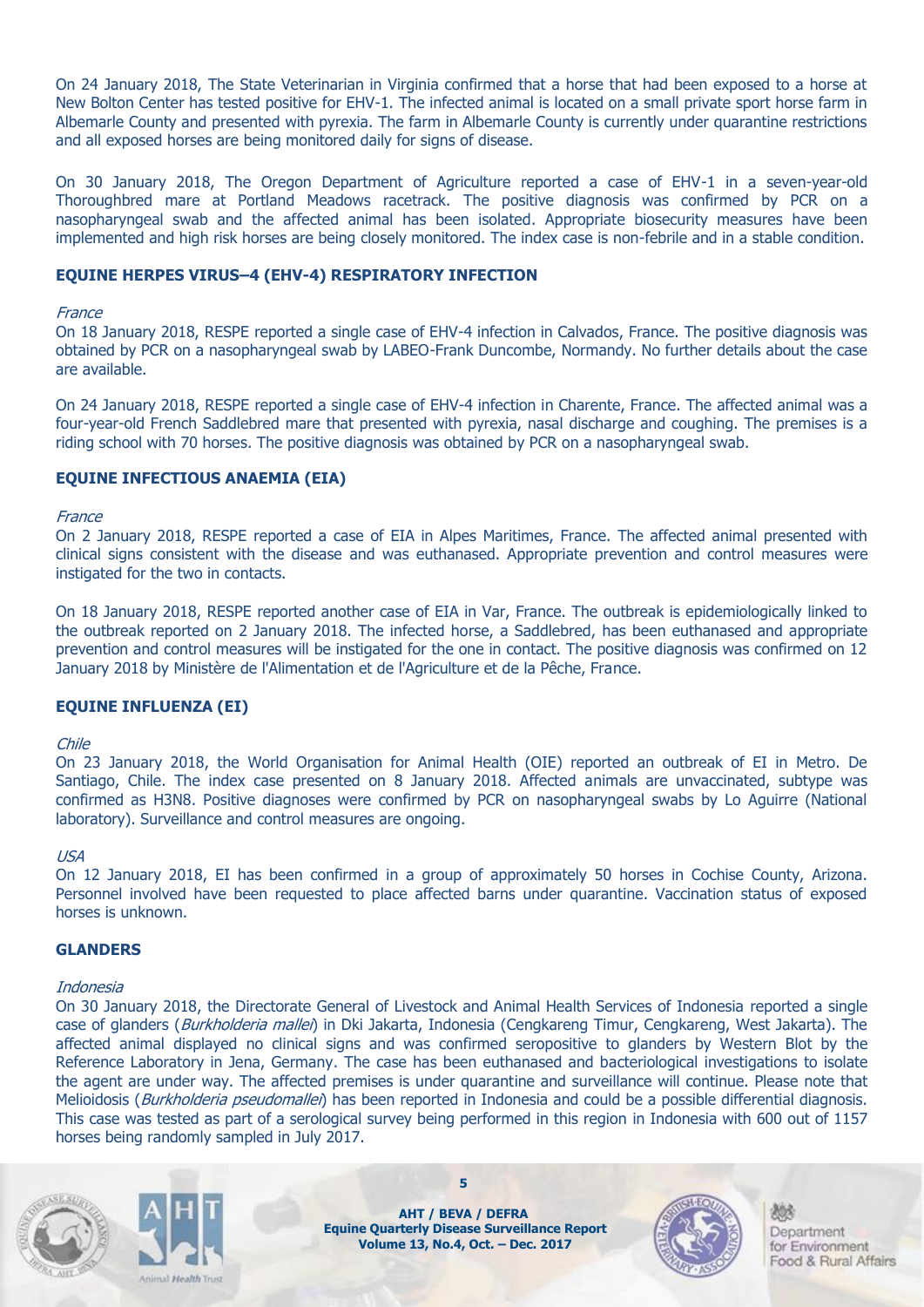On 24 January 2018, The State Veterinarian in Virginia confirmed that a horse that had been exposed to a horse at New Bolton Center has tested positive for EHV-1. The infected animal is located on a small private sport horse farm in Albemarle County and presented with pyrexia. The farm in Albemarle County is currently under quarantine restrictions and all exposed horses are being monitored daily for signs of disease.

On 30 January 2018, The Oregon Department of Agriculture reported a case of EHV-1 in a seven-year-old Thoroughbred mare at Portland Meadows racetrack. The positive diagnosis was confirmed by PCR on a nasopharyngeal swab and the affected animal has been isolated. Appropriate biosecurity measures have been implemented and high risk horses are being closely monitored. The index case is non-febrile and in a stable condition.

#### **EQUINE HERPES VIRUS–4 (EHV-4) RESPIRATORY INFECTION**

#### **France**

On 18 January 2018, RESPE reported a single case of EHV-4 infection in Calvados, France. The positive diagnosis was obtained by PCR on a nasopharyngeal swab by LABEO-Frank Duncombe, Normandy. No further details about the case are available.

On 24 January 2018, RESPE reported a single case of EHV-4 infection in Charente, France. The affected animal was a four-year-old French Saddlebred mare that presented with pyrexia, nasal discharge and coughing. The premises is a riding school with 70 horses. The positive diagnosis was obtained by PCR on a nasopharyngeal swab.

#### **EQUINE INFECTIOUS ANAEMIA (EIA)**

#### France

On 2 January 2018, RESPE reported a case of EIA in Alpes Maritimes, France. The affected animal presented with clinical signs consistent with the disease and was euthanased. Appropriate prevention and control measures were instigated for the two in contacts.

On 18 January 2018, RESPE reported another case of EIA in Var, France. The outbreak is epidemiologically linked to the outbreak reported on 2 January 2018. The infected horse, a Saddlebred, has been euthanased and appropriate prevention and control measures will be instigated for the one in contact. The positive diagnosis was confirmed on 12 January 2018 by Ministère de l'Alimentation et de l'Agriculture et de la Pêche, France.

#### **EQUINE INFLUENZA (EI)**

#### Chile

On 23 January 2018, the World Organisation for Animal Health (OIE) reported an outbreak of EI in Metro. De Santiago, Chile. The index case presented on 8 January 2018. Affected animals are unvaccinated, subtype was confirmed as H3N8. Positive diagnoses were confirmed by PCR on nasopharyngeal swabs by Lo Aguirre (National laboratory). Surveillance and control measures are ongoing.

#### USA

On 12 January 2018, EI has been confirmed in a group of approximately 50 horses in Cochise County, Arizona. Personnel involved have been requested to place affected barns under quarantine. Vaccination status of exposed horses is unknown.

#### **GLANDERS**

#### Indonesia

On 30 January 2018, the Directorate General of Livestock and Animal Health Services of Indonesia reported a single case of glanders (Burkholderia mallei) in Dki Jakarta, Indonesia (Cengkareng Timur, Cengkareng, West Jakarta). The affected animal displayed no clinical signs and was confirmed seropositive to glanders by Western Blot by the Reference Laboratory in Jena, Germany. The case has been euthanased and bacteriological investigations to isolate the agent are under way. The affected premises is under quarantine and surveillance will continue. Please note that Melioidosis (Burkholderia pseudomallei) has been reported in Indonesia and could be a possible differential diagnosis. This case was tested as part of a serological survey being performed in this region in Indonesia with 600 out of 1157 horses being randomly sampled in July 2017.





**AHT / BEVA / DEFRA Equine Quarterly Disease Surveillance Report Volume 13, No.4, Oct. – Dec. 2017**

**5**

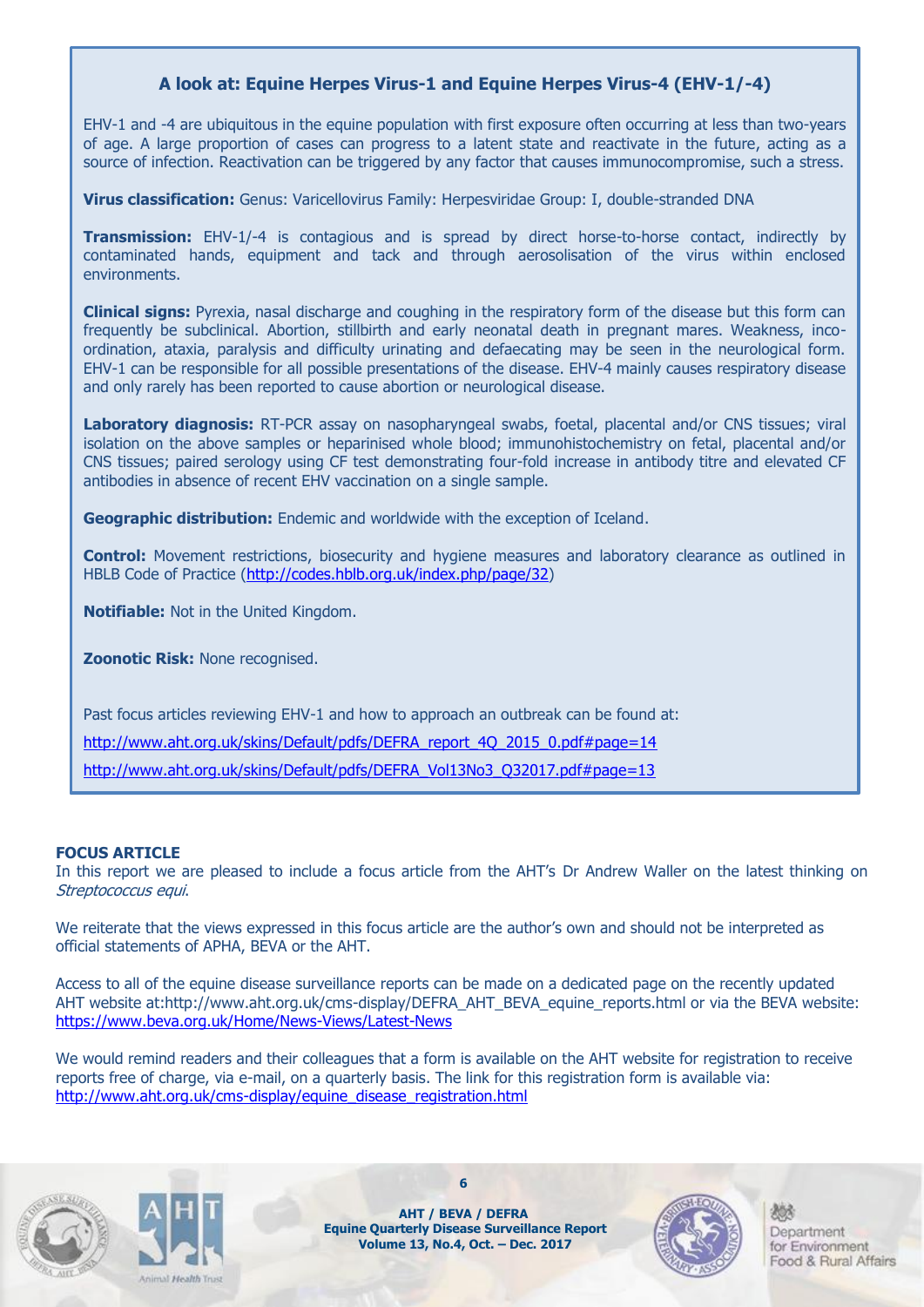#### **A look at: Equine Herpes Virus-1 and Equine Herpes Virus-4 (EHV-1/-4)**

EHV-1 and -4 are ubiquitous in the equine population with first exposure often occurring at less than two-years of age. A large proportion of cases can progress to a latent state and reactivate in the future, acting as a source of infection. Reactivation can be triggered by any factor that causes immunocompromise, such a stress.

**Virus classification:** Genus: Varicellovirus Family: Herpesviridae Group: I, double-stranded DNA

**Transmission:** EHV-1/-4 is contagious and is spread by direct horse-to-horse contact, indirectly by contaminated hands, equipment and tack and through aerosolisation of the virus within enclosed environments.

**Clinical signs:** Pyrexia, nasal discharge and coughing in the respiratory form of the disease but this form can frequently be subclinical. Abortion, stillbirth and early neonatal death in pregnant mares. Weakness, incoordination, ataxia, paralysis and difficulty urinating and defaecating may be seen in the neurological form. EHV-1 can be responsible for all possible presentations of the disease. EHV-4 mainly causes respiratory disease and only rarely has been reported to cause abortion or neurological disease.

Laboratory diagnosis: RT-PCR assay on nasopharyngeal swabs, foetal, placental and/or CNS tissues; viral isolation on the above samples or heparinised whole blood; immunohistochemistry on fetal, placental and/or CNS tissues; paired serology using CF test demonstrating four-fold increase in antibody titre and elevated CF antibodies in absence of recent EHV vaccination on a single sample.

**Geographic distribution:** Endemic and worldwide with the exception of Iceland.

**Control:** Movement restrictions, biosecurity and hygiene measures and laboratory clearance as outlined in HBLB Code of Practice [\(http://codes.hblb.org.uk/index.php/page/32\)](http://codes.hblb.org.uk/index.php/page/32)

**Notifiable:** Not in the United Kingdom.

**Zoonotic Risk:** None recognised.

Past focus articles reviewing EHV-1 and how to approach an outbreak can be found at:

[http://www.aht.org.uk/skins/Default/pdfs/DEFRA\\_report\\_4Q\\_2015\\_0.pdf#page=14](http://www.aht.org.uk/skins/Default/pdfs/DEFRA_report_4Q_2015_0.pdf#page=14)

[http://www.aht.org.uk/skins/Default/pdfs/DEFRA\\_Vol13No3\\_Q32017.pdf#page=13](http://www.aht.org.uk/skins/Default/pdfs/DEFRA_Vol13No3_Q32017.pdf#page=13)

#### **FOCUS ARTICLE**

In this report we are pleased to include a focus article from the AHT's Dr Andrew Waller on the latest thinking on Streptococcus equi.

We reiterate that the views expressed in this focus article are the author's own and should not be interpreted as official statements of APHA, BEVA or the AHT.

Access to all of the equine disease surveillance reports can be made on a dedicated page on the recently updated AHT website at:http://www.aht.org.uk/cms-display/DEFRA\_AHT\_BEVA\_equine\_reports.html or via the BEVA website: <https://www.beva.org.uk/Home/News-Views/Latest-News>

We would remind readers and their colleagues that a form is available on the AHT website for registration to receive reports free of charge, via e-mail, on a quarterly basis. The link for this registration form is available via: [http://www.aht.org.uk/cms-display/equine\\_disease\\_registration.html](http://www.aht.org.uk/cms-display/equine_disease_registration.html)





**AHT / BEVA / DEFRA Equine Quarterly Disease Surveillance Report Volume 13, No.4, Oct. – Dec. 2017**

**6**

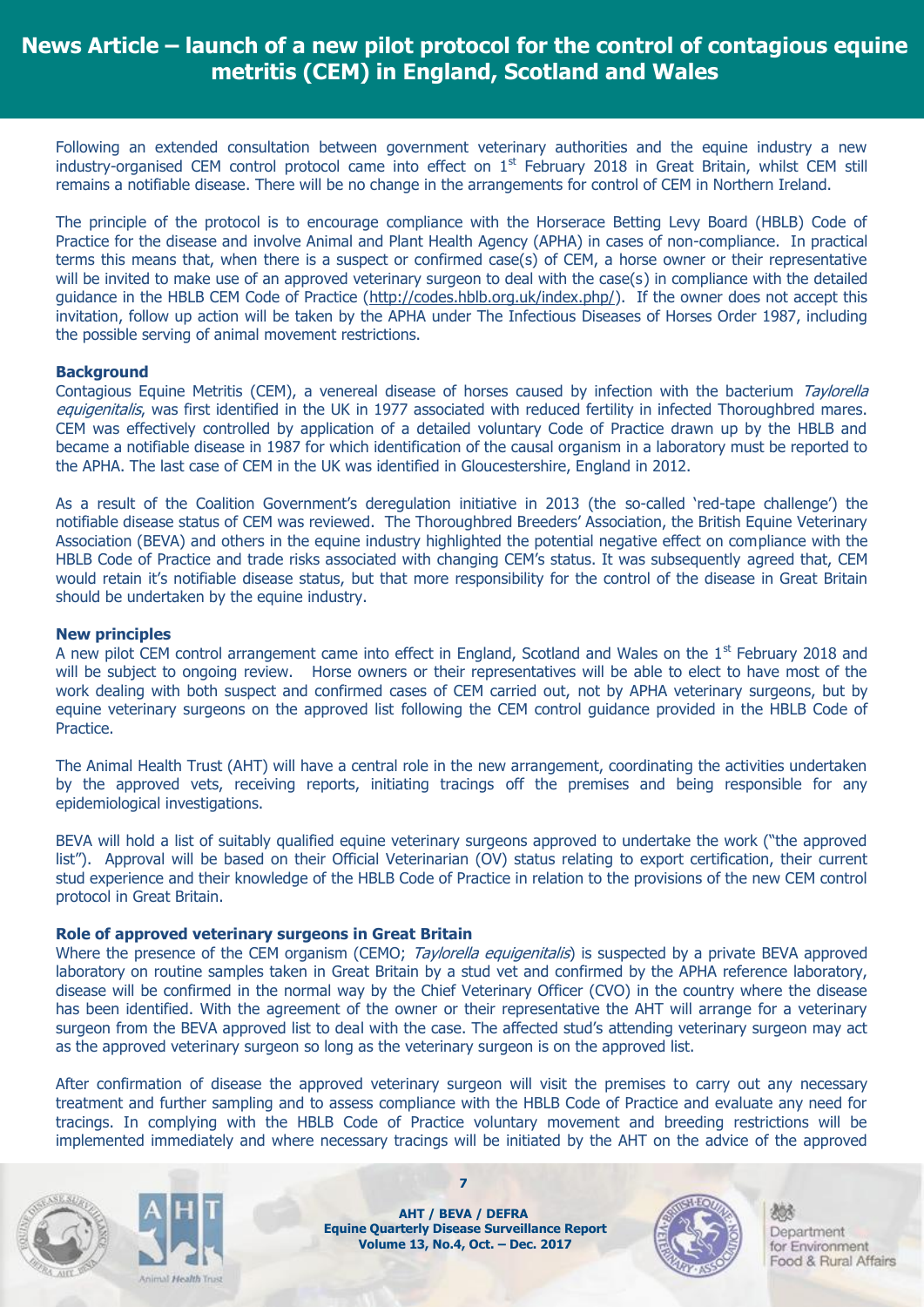### **News Article – launch of a new pilot protocol for the control of contagious equine metritis (CEM) in England, Scotland and Wales**

Following an extended consultation between government veterinary authorities and the equine industry a new industry-organised CEM control protocol came into effect on  $1<sup>st</sup>$  February 2018 in Great Britain, whilst CEM still remains a notifiable disease. There will be no change in the arrangements for control of CEM in Northern Ireland.

The principle of the protocol is to encourage compliance with the Horserace Betting Levy Board (HBLB) Code of Practice for the disease and involve Animal and Plant Health Agency (APHA) in cases of non-compliance. In practical terms this means that, when there is a suspect or confirmed case(s) of CEM, a horse owner or their representative will be invited to make use of an approved veterinary surgeon to deal with the case(s) in compliance with the detailed guidance in the HBLB CEM Code of Practice [\(http://codes.hblb.org.uk/index.php/\)](http://codes.hblb.org.uk/index.php/). If the owner does not accept this invitation, follow up action will be taken by the APHA under The Infectious Diseases of Horses Order 1987, including the possible serving of animal movement restrictions.

#### **Background**

Contagious Equine Metritis (CEM), a venereal disease of horses caused by infection with the bacterium Taylorella equigenitalis, was first identified in the UK in 1977 associated with reduced fertility in infected Thoroughbred mares. CEM was effectively controlled by application of a detailed voluntary Code of Practice drawn up by the HBLB and became a notifiable disease in 1987 for which identification of the causal organism in a laboratory must be reported to the APHA. The last case of CEM in the UK was identified in Gloucestershire, England in 2012.

As a result of the Coalition Government's deregulation initiative in 2013 (the so-called 'red-tape challenge') the notifiable disease status of CEM was reviewed. The Thoroughbred Breeders' Association, the British Equine Veterinary Association (BEVA) and others in the equine industry highlighted the potential negative effect on compliance with the HBLB Code of Practice and trade risks associated with changing CEM's status. It was subsequently agreed that, CEM would retain it's notifiable disease status, but that more responsibility for the control of the disease in Great Britain should be undertaken by the equine industry.

#### **New principles**

A new pilot CEM control arrangement came into effect in England, Scotland and Wales on the  $1<sup>st</sup>$  February 2018 and will be subject to ongoing review. Horse owners or their representatives will be able to elect to have most of the work dealing with both suspect and confirmed cases of CEM carried out, not by APHA veterinary surgeons, but by equine veterinary surgeons on the approved list following the CEM control guidance provided in the HBLB Code of Practice.

The Animal Health Trust (AHT) will have a central role in the new arrangement, coordinating the activities undertaken by the approved vets, receiving reports, initiating tracings off the premises and being responsible for any epidemiological investigations.

BEVA will hold a list of suitably qualified equine veterinary surgeons approved to undertake the work ("the approved list"). Approval will be based on their Official Veterinarian (OV) status relating to export certification, their current stud experience and their knowledge of the HBLB Code of Practice in relation to the provisions of the new CEM control protocol in Great Britain.

#### **Role of approved veterinary surgeons in Great Britain**

Where the presence of the CEM organism (CEMO; Taylorella equigenitalis) is suspected by a private BEVA approved laboratory on routine samples taken in Great Britain by a stud vet and confirmed by the APHA reference laboratory, disease will be confirmed in the normal way by the Chief Veterinary Officer (CVO) in the country where the disease has been identified. With the agreement of the owner or their representative the AHT will arrange for a veterinary surgeon from the BEVA approved list to deal with the case. The affected stud's attending veterinary surgeon may act as the approved veterinary surgeon so long as the veterinary surgeon is on the approved list.

After confirmation of disease the approved veterinary surgeon will visit the premises to carry out any necessary treatment and further sampling and to assess compliance with the HBLB Code of Practice and evaluate any need for tracings. In complying with the HBLB Code of Practice voluntary movement and breeding restrictions will be implemented immediately and where necessary tracings will be initiated by the AHT on the advice of the approved





**AHT / BEVA / DEFRA Equine Quarterly Disease Surveillance Report Volume 13, No.4, Oct. – Dec. 2017**

**7**

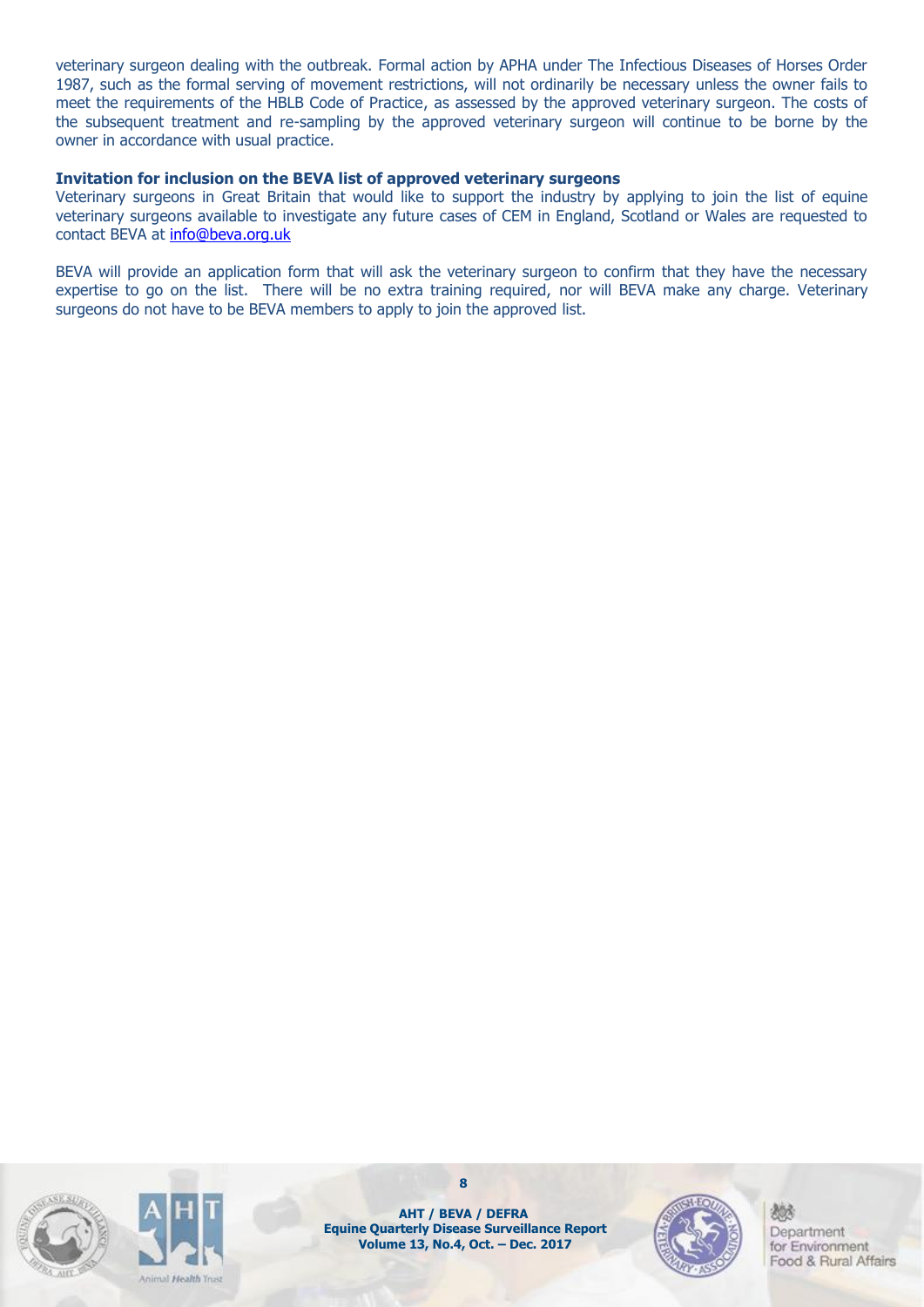veterinary surgeon dealing with the outbreak. Formal action by APHA under The Infectious Diseases of Horses Order 1987, such as the formal serving of movement restrictions, will not ordinarily be necessary unless the owner fails to meet the requirements of the HBLB Code of Practice, as assessed by the approved veterinary surgeon. The costs of the subsequent treatment and re-sampling by the approved veterinary surgeon will continue to be borne by the owner in accordance with usual practice.

#### **Invitation for inclusion on the BEVA list of approved veterinary surgeons**

Veterinary surgeons in Great Britain that would like to support the industry by applying to join the list of equine veterinary surgeons available to investigate any future cases of CEM in England, Scotland or Wales are requested to contact BEVA at [info@beva.org.uk](mailto:info@beva.org.uk)

BEVA will provide an application form that will ask the veterinary surgeon to confirm that they have the necessary expertise to go on the list. There will be no extra training required, nor will BEVA make any charge. Veterinary surgeons do not have to be BEVA members to apply to join the approved list.





**AHT / BEVA / DEFRA Equine Quarterly Disease Surveillance Report Volume 13, No.4, Oct. – Dec. 2017**

**8**

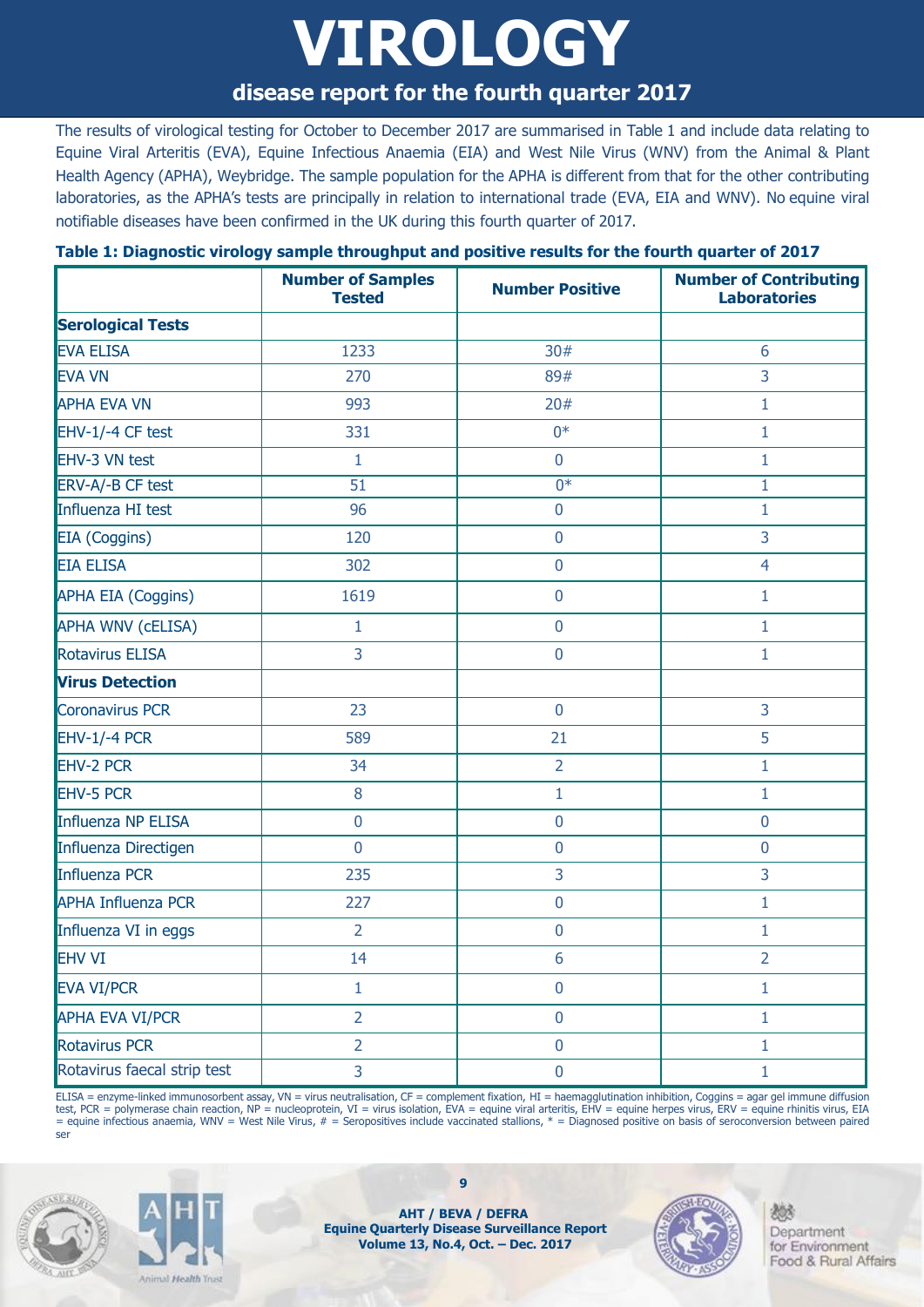## **VIROLOGY**

### **disease report for the fourth quarter 2017**

The results of virological testing for October to December 2017 are summarised in Table 1 and include data relating to Equine Viral Arteritis (EVA), Equine Infectious Anaemia (EIA) and West Nile Virus (WNV) from the Animal & Plant Health Agency (APHA), Weybridge. The sample population for the APHA is different from that for the other contributing laboratories, as the APHA's tests are principally in relation to international trade (EVA, EIA and WNV). No equine viral notifiable diseases have been confirmed in the UK during this fourth quarter of 2017.

### **Number of Samples Tested Number Positive Number of Contributing Laboratories Serological Tests** EVA ELISA  $\qquad \qquad \vert \qquad \qquad \vert \qquad \qquad \vert \qquad \qquad \qquad \vert \qquad \qquad \vert \qquad \qquad \vert \qquad \qquad \vert \qquad \qquad \vert \qquad \qquad \vert \qquad \qquad \vert \qquad \qquad \vert \qquad \qquad \vert \qquad \qquad \vert \qquad \qquad \vert \qquad \qquad \vert \qquad \qquad \vert \qquad \qquad \vert \qquad \qquad \vert \qquad \qquad \vert \qquad \qquad \vert \qquad \qquad \vert \qquad \qquad \vert \qquad \qquad \vert \qquad \qquad \vert \qquad \qquad \vert \qquad \qquad \$ EVA VN 270 89# 3  $APHA$  EVA VN  $\qquad$   $\qquad$  993  $\qquad$   $\qquad$  20#  $\qquad$  1 EHV-1/-4 CF test  $\begin{array}{ccc} 1 & 331 & 1 & 0^* & 1 \end{array}$ EHV-3 VN test  $\begin{array}{ccc} & | & 1 & | & 0 & | & 1 \end{array}$ ERV-A/-B CF test 51 0\* 1 Influenza HI test  $\begin{array}{ccc} 1 & 96 & 1 \end{array}$ EIA (Coggins) 120 0 3 EIA ELISA 302 0 4 APHA EIA (Coggins) | 1619 | 0 1 APHA WNV (cELISA) 1 0 1 Rotavirus ELISA 3 0 1 **Virus Detection** Coronavirus PCR 23 0 3 EHV-1/-4 PCR 589 21 5 EHV-2 PCR 34 2 1 EHV-5 PCR 8 1 1 Influenza NP ELISA 0 0 0 Influenza Directigen and the control of the control of the control of the control of the control of the control o Influenza PCR 235 3 3 APHA Influenza PCR and the contract of the contract of the contract of the contract of the contract of the contract of the contract of the contract of the contract of the contract of the contract of the contract of the con Influenza VI in eggs  $\begin{array}{ccc} 1 & 2 & 0 & 0 \end{array}$ EHV VI 14 6 2 EVA VI/PCR 1 0 1 APHA EVA VI/PCR 2 0 1 Rotavirus PCR 2 0 1

#### **Table 1: Diagnostic virology sample throughput and positive results for the fourth quarter of 2017**

ELISA = enzyme-linked immunosorbent assay, VN = virus neutralisation, CF = complement fixation, HI = haemagglutination inhibition, Coggins = agar gel immune diffusion test, PCR = polymerase chain reaction, NP = nucleoprotein, VI = virus isolation, EVA = equine viral arteritis, EHV = equine herpes virus, ERV = equine rhinitis virus, EIA = equine infectious anaemia, WNV = West Nile Virus, # = Seropositives include vaccinated stallions, \* = Diagnosed positive on basis of seroconversion between paired ser

Rotavirus faecal strip test  $\begin{array}{ccc} | & 3 & | & 0 & | & 1 \end{array}$ 





**AHT / BEVA / DEFRA Equine Quarterly Disease Surveillance Report Volume 13, No.4, Oct. – Dec. 2017**

**9**

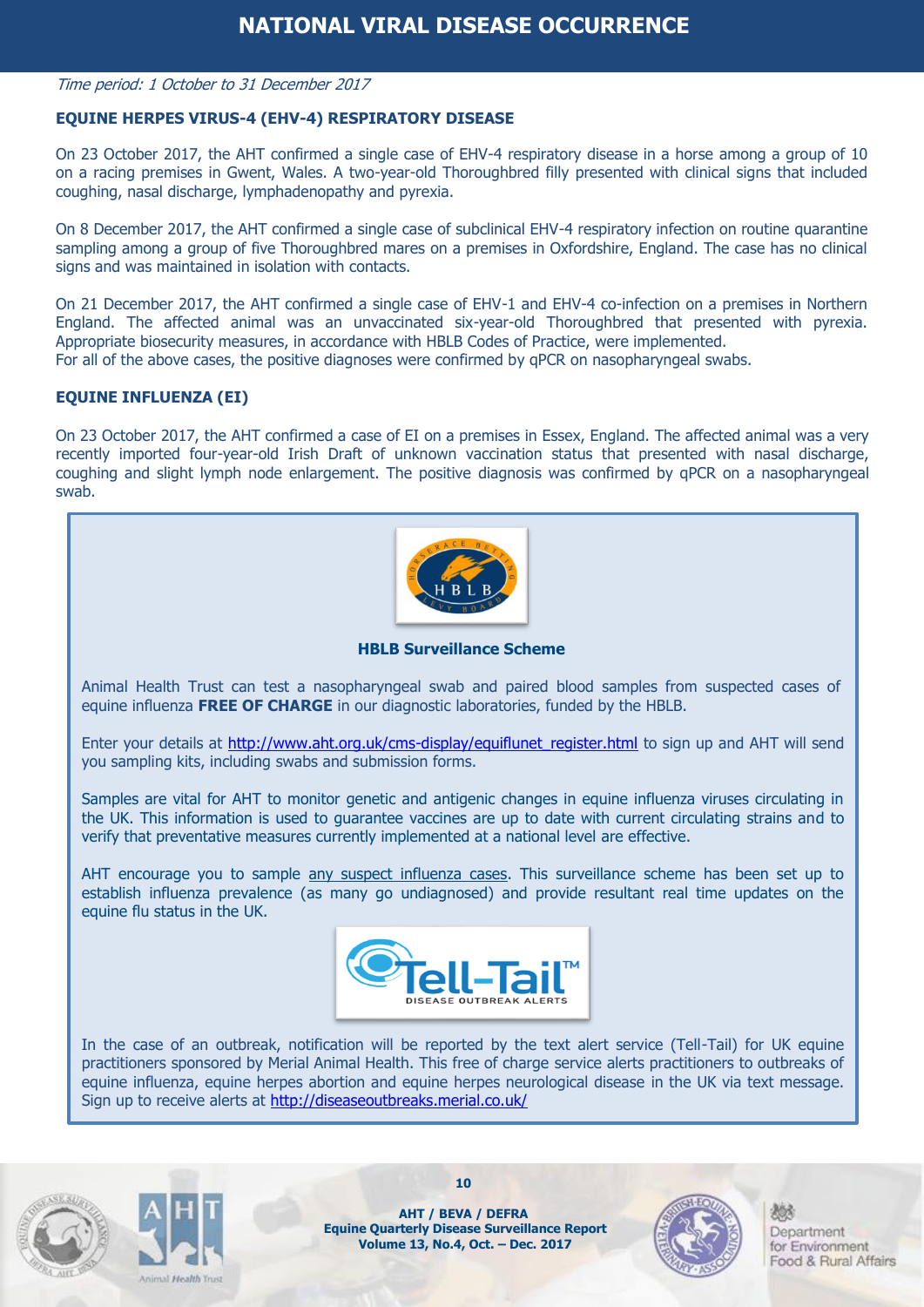#### Time period: 1 October to 31 December 2017

#### **EQUINE HERPES VIRUS-4 (EHV-4) RESPIRATORY DISEASE**

On 23 October 2017, the AHT confirmed a single case of EHV-4 respiratory disease in a horse among a group of 10 on a racing premises in Gwent, Wales. A two-year-old Thoroughbred filly presented with clinical signs that included coughing, nasal discharge, lymphadenopathy and pyrexia.

On 8 December 2017, the AHT confirmed a single case of subclinical EHV-4 respiratory infection on routine quarantine sampling among a group of five Thoroughbred mares on a premises in Oxfordshire, England. The case has no clinical signs and was maintained in isolation with contacts.

On 21 December 2017, the AHT confirmed a single case of EHV-1 and EHV-4 co-infection on a premises in Northern England. The affected animal was an unvaccinated six-year-old Thoroughbred that presented with pyrexia. Appropriate biosecurity measures, in accordance with HBLB Codes of Practice, were implemented. For all of the above cases, the positive diagnoses were confirmed by qPCR on nasopharyngeal swabs.

#### **EQUINE INFLUENZA (EI)**

On 23 October 2017, the AHT confirmed a case of EI on a premises in Essex, England. The affected animal was a very recently imported four-year-old Irish Draft of unknown vaccination status that presented with nasal discharge, coughing and slight lymph node enlargement. The positive diagnosis was confirmed by qPCR on a nasopharyngeal swab.



**HBLB Surveillance Scheme**

Animal Health Trust can test a nasopharyngeal swab and paired blood samples from suspected cases of equine influenza **FREE OF CHARGE** in our diagnostic laboratories, funded by the HBLB.

Enter your details at http://www.aht.org.uk/cms-display/equiflunet register.html to sign up and AHT will send you sampling kits, including swabs and submission forms.

Samples are vital for AHT to monitor genetic and antigenic changes in equine influenza viruses circulating in the UK. This information is used to guarantee vaccines are up to date with current circulating strains and to verify that preventative measures currently implemented at a national level are effective.

AHT encourage you to sample any suspect influenza cases. This surveillance scheme has been set up to establish influenza prevalence (as many go undiagnosed) and provide resultant real time updates on the equine flu status in the UK.



In the case of an outbreak, notification will be reported by the text alert service (Tell-Tail) for UK equine practitioners sponsored by Merial Animal Health. This free of charge service alerts practitioners to outbreaks of equine influenza, equine herpes abortion and equine herpes neurological disease in the UK via text message. Sign up to receive alerts at<http://diseaseoutbreaks.merial.co.uk/>





**AHT / BEVA / DEFRA Equine Quarterly Disease Surveillance Report Volume 13, No.4, Oct. – Dec. 2017**

**10**

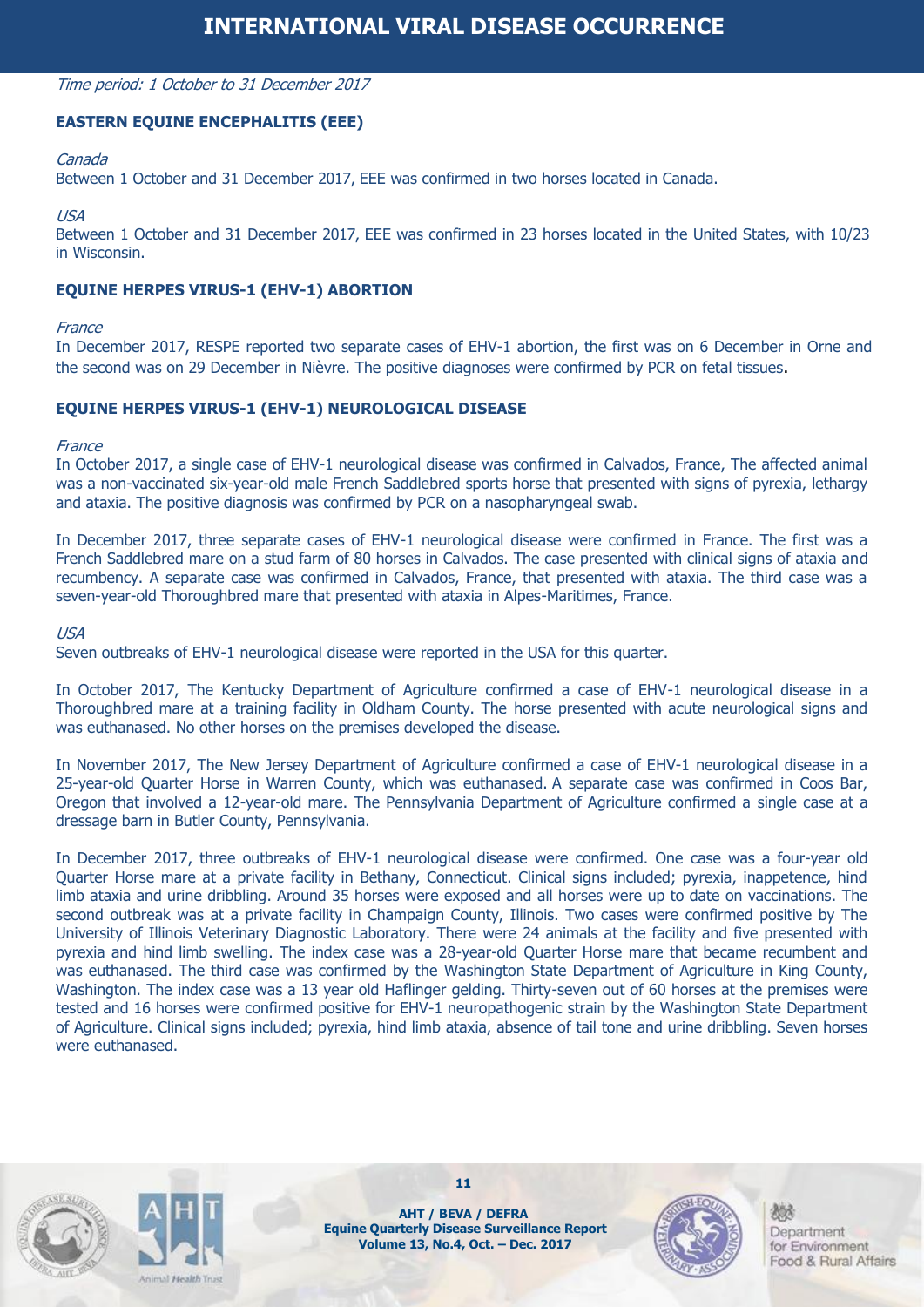#### Time period: 1 October to 31 December 2017

#### **EASTERN EQUINE ENCEPHALITIS (EEE)**

#### Canada

Between 1 October and 31 December 2017, EEE was confirmed in two horses located in Canada.

#### USA

Between 1 October and 31 December 2017, EEE was confirmed in 23 horses located in the United States, with 10/23 in Wisconsin.

#### **EQUINE HERPES VIRUS-1 (EHV-1) ABORTION**

#### **France**

In December 2017, RESPE reported two separate cases of EHV-1 abortion, the first was on 6 December in Orne and the second was on 29 December in Nièvre. The positive diagnoses were confirmed by PCR on fetal tissues.

#### **EQUINE HERPES VIRUS-1 (EHV-1) NEUROLOGICAL DISEASE**

#### France

In October 2017, a single case of EHV-1 neurological disease was confirmed in Calvados, France, The affected animal was a non-vaccinated six-year-old male French Saddlebred sports horse that presented with signs of pyrexia, lethargy and ataxia. The positive diagnosis was confirmed by PCR on a nasopharyngeal swab.

In December 2017, three separate cases of EHV-1 neurological disease were confirmed in France. The first was a French Saddlebred mare on a stud farm of 80 horses in Calvados. The case presented with clinical signs of ataxia and recumbency. A separate case was confirmed in Calvados, France, that presented with ataxia. The third case was a seven-year-old Thoroughbred mare that presented with ataxia in Alpes-Maritimes, France.

#### USA

Seven outbreaks of EHV-1 neurological disease were reported in the USA for this quarter.

In October 2017, The Kentucky Department of Agriculture confirmed a case of EHV-1 neurological disease in a Thoroughbred mare at a training facility in Oldham County. The horse presented with acute neurological signs and was euthanased. No other horses on the premises developed the disease.

In November 2017, The New Jersey Department of Agriculture confirmed a case of EHV-1 neurological disease in a 25-year-old Quarter Horse in Warren County, which was euthanased. A separate case was confirmed in Coos Bar, Oregon that involved a 12-year-old mare. The Pennsylvania Department of Agriculture confirmed a single case at a dressage barn in Butler County, Pennsylvania.

In December 2017, three outbreaks of EHV-1 neurological disease were confirmed. One case was a four-year old Quarter Horse mare at a private facility in Bethany, Connecticut. Clinical signs included; pyrexia, inappetence, hind limb ataxia and urine dribbling. Around 35 horses were exposed and all horses were up to date on vaccinations. The second outbreak was at a private facility in Champaign County, Illinois. Two cases were confirmed positive by The University of Illinois Veterinary Diagnostic Laboratory. There were 24 animals at the facility and five presented with pyrexia and hind limb swelling. The index case was a 28-year-old Quarter Horse mare that became recumbent and was euthanased. The third case was confirmed by the Washington State Department of Agriculture in King County, Washington. The index case was a 13 year old Haflinger gelding. Thirty-seven out of 60 horses at the premises were tested and 16 horses were confirmed positive for EHV-1 neuropathogenic strain by the Washington State Department of Agriculture. Clinical signs included; pyrexia, hind limb ataxia, absence of tail tone and urine dribbling. Seven horses were euthanased.





**AHT / BEVA / DEFRA Equine Quarterly Disease Surveillance Report Volume 13, No.4, Oct. – Dec. 2017**

**11**

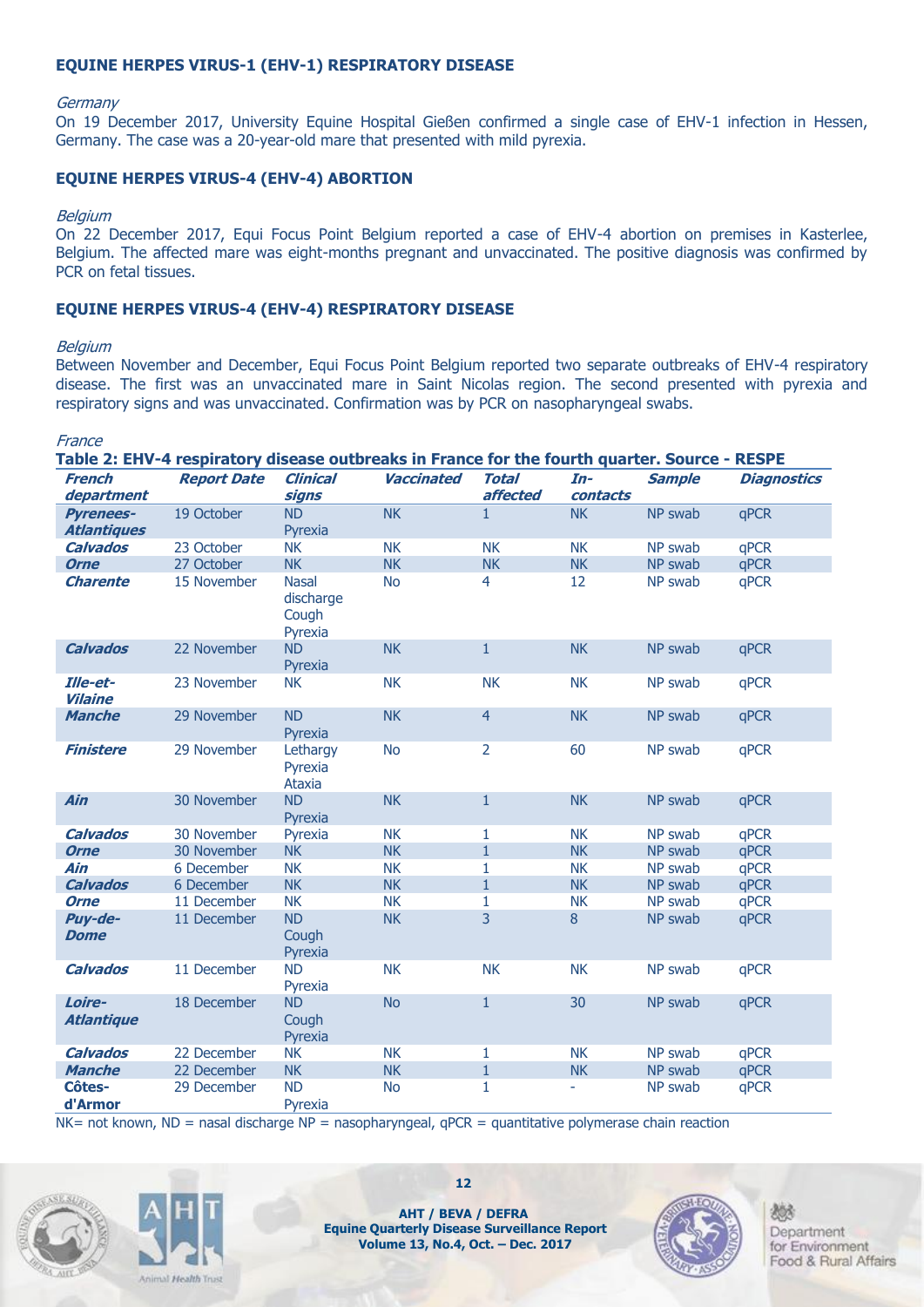#### **EQUINE HERPES VIRUS-1 (EHV-1) RESPIRATORY DISEASE**

#### **Germany**

On 19 December 2017, University Equine Hospital Gießen confirmed a single case of EHV-1 infection in Hessen, Germany. The case was a 20-year-old mare that presented with mild pyrexia.

#### **EQUINE HERPES VIRUS-4 (EHV-4) ABORTION**

#### **Belgium**

On 22 December 2017, Equi Focus Point Belgium reported a case of EHV-4 abortion on premises in Kasterlee, Belgium. The affected mare was eight-months pregnant and unvaccinated. The positive diagnosis was confirmed by PCR on fetal tissues.

#### **EQUINE HERPES VIRUS-4 (EHV-4) RESPIRATORY DISEASE**

#### **Belgium**

Between November and December, Equi Focus Point Belgium reported two separate outbreaks of EHV-4 respiratory disease. The first was an unvaccinated mare in Saint Nicolas region. The second presented with pyrexia and respiratory signs and was unvaccinated. Confirmation was by PCR on nasopharyngeal swabs.

| France                            |                                                                                               |                                               |                   |                |           |               |                    |
|-----------------------------------|-----------------------------------------------------------------------------------------------|-----------------------------------------------|-------------------|----------------|-----------|---------------|--------------------|
|                                   | Table 2: EHV-4 respiratory disease outbreaks in France for the fourth quarter. Source - RESPE |                                               |                   |                |           |               |                    |
| <b>French</b>                     | <b>Report Date</b>                                                                            | <b>Clinical</b>                               | <b>Vaccinated</b> | <b>Total</b>   | $In-$     | <b>Sample</b> | <b>Diagnostics</b> |
| department                        |                                                                                               | signs                                         |                   | affected       | contacts  |               |                    |
| <b>Pyrenees-</b>                  | 19 October                                                                                    | <b>ND</b>                                     | <b>NK</b>         | $\mathbf{1}$   | <b>NK</b> | NP swab       | qPCR               |
| <b>Atlantiques</b>                |                                                                                               | Pyrexia                                       |                   |                |           |               |                    |
| <b>Calvados</b>                   | 23 October                                                                                    | <b>NK</b>                                     | <b>NK</b>         | <b>NK</b>      | <b>NK</b> | NP swab       | qPCR               |
| <b>Orne</b>                       | 27 October                                                                                    | <b>NK</b>                                     | <b>NK</b>         | <b>NK</b>      | <b>NK</b> | NP swab       | qPCR               |
| <b>Charente</b>                   | 15 November                                                                                   | <b>Nasal</b><br>discharge<br>Cough<br>Pyrexia | <b>No</b>         | $\overline{4}$ | 12        | NP swab       | qPCR               |
| <b>Calvados</b>                   | 22 November                                                                                   | <b>ND</b><br>Pyrexia                          | <b>NK</b>         | $\mathbf{1}$   | <b>NK</b> | NP swab       | qPCR               |
| <b>Ille-et-</b><br><b>Vilaine</b> | 23 November                                                                                   | <b>NK</b>                                     | <b>NK</b>         | <b>NK</b>      | <b>NK</b> | NP swab       | qPCR               |
| <b>Manche</b>                     | 29 November                                                                                   | <b>ND</b><br>Pyrexia                          | <b>NK</b>         | $\overline{4}$ | <b>NK</b> | NP swab       | qPCR               |
| <b>Finistere</b>                  | 29 November                                                                                   | Lethargy<br>Pyrexia<br><b>Ataxia</b>          | <b>No</b>         | $\overline{2}$ | 60        | NP swab       | qPCR               |
| <b>Ain</b>                        | 30 November                                                                                   | <b>ND</b><br>Pyrexia                          | <b>NK</b>         | $\mathbf{1}$   | <b>NK</b> | NP swab       | qPCR               |
| <b>Calvados</b>                   | 30 November                                                                                   | Pyrexia                                       | <b>NK</b>         | 1              | <b>NK</b> | NP swab       | qPCR               |
| <b>Orne</b>                       | 30 November                                                                                   | <b>NK</b>                                     | <b>NK</b>         | $\mathbf{1}$   | <b>NK</b> | NP swab       | qPCR               |
| Ain                               | 6 December                                                                                    | <b>NK</b>                                     | <b>NK</b>         | 1              | <b>NK</b> | NP swab       | qPCR               |
| <b>Calvados</b>                   | 6 December                                                                                    | <b>NK</b>                                     | <b>NK</b>         | $\mathbf{1}$   | <b>NK</b> | NP swab       | qPCR               |
| <b>Orne</b>                       | 11 December                                                                                   | <b>NK</b>                                     | <b>NK</b>         | 1              | <b>NK</b> | NP swab       | qPCR               |
| Puy-de-<br><b>Dome</b>            | 11 December                                                                                   | <b>ND</b><br>Cough<br>Pyrexia                 | <b>NK</b>         | 3              | 8         | NP swab       | qPCR               |
| <b>Calvados</b>                   | 11 December                                                                                   | <b>ND</b><br>Pyrexia                          | <b>NK</b>         | <b>NK</b>      | <b>NK</b> | NP swab       | qPCR               |
| Loire-<br><b>Atlantique</b>       | 18 December                                                                                   | <b>ND</b><br>Cough<br>Pyrexia                 | <b>No</b>         | $\mathbf{1}$   | 30        | NP swab       | qPCR               |
| <b>Calvados</b>                   | 22 December                                                                                   | <b>NK</b>                                     | <b>NK</b>         | 1              | <b>NK</b> | NP swab       | qPCR               |
| <b>Manche</b>                     | 22 December                                                                                   | <b>NK</b>                                     | <b>NK</b>         | $\mathbf{1}$   | <b>NK</b> | NP swab       | qPCR               |
| Côtes-<br>d'Armor                 | 29 December                                                                                   | <b>ND</b><br>Pyrexia                          | <b>No</b>         | 1              |           | NP swab       | qPCR               |

 $NK=$  not known,  $ND =$  nasal discharge  $NP =$  nasopharyngeal, qPCR = quantitative polymerase chain reaction





**AHT / BEVA / DEFRA Equine Quarterly Disease Surveillance Report Volume 13, No.4, Oct. – Dec. 2017**

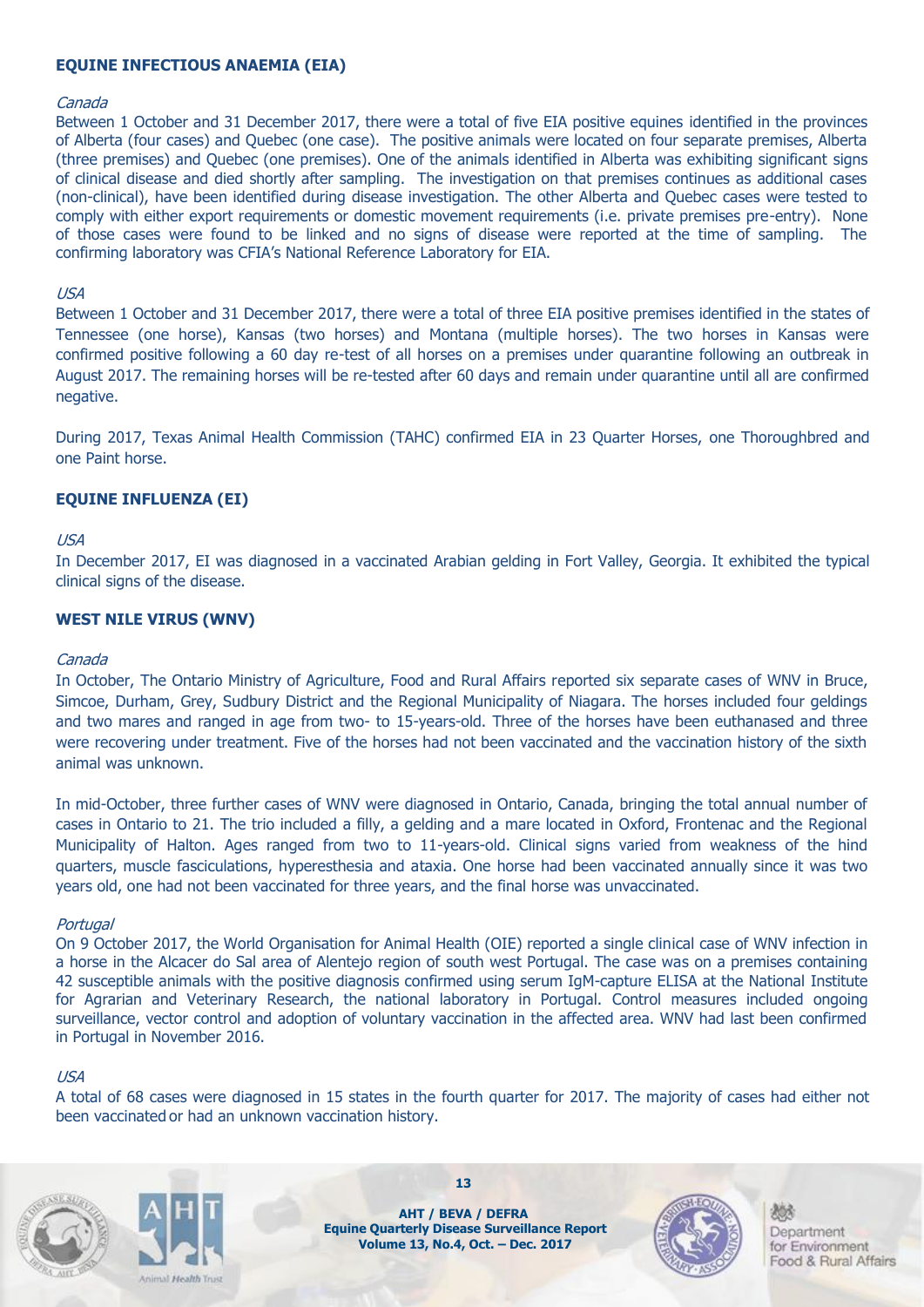#### **EQUINE INFECTIOUS ANAEMIA (EIA)**

#### Canada

Between 1 October and 31 December 2017, there were a total of five EIA positive equines identified in the provinces of Alberta (four cases) and Quebec (one case). The positive animals were located on four separate premises, Alberta (three premises) and Quebec (one premises). One of the animals identified in Alberta was exhibiting significant signs of clinical disease and died shortly after sampling. The investigation on that premises continues as additional cases (non-clinical), have been identified during disease investigation. The other Alberta and Quebec cases were tested to comply with either export requirements or domestic movement requirements (i.e. private premises pre-entry). None of those cases were found to be linked and no signs of disease were reported at the time of sampling. The confirming laboratory was CFIA's National Reference Laboratory for EIA.

#### USA

Between 1 October and 31 December 2017, there were a total of three EIA positive premises identified in the states of Tennessee (one horse), Kansas (two horses) and Montana (multiple horses). The two horses in Kansas were confirmed positive following a 60 day re-test of all horses on a premises under quarantine following an outbreak in August 2017. The remaining horses will be re-tested after 60 days and remain under quarantine until all are confirmed negative.

During 2017, Texas Animal Health Commission (TAHC) confirmed EIA in 23 Quarter Horses, one Thoroughbred and one Paint horse.

#### **EQUINE INFLUENZA (EI)**

#### USA

In December 2017, EI was diagnosed in a vaccinated Arabian gelding in Fort Valley, Georgia. It exhibited the typical clinical signs of the disease.

#### **WEST NILE VIRUS (WNV)**

#### Canada

In October, The Ontario Ministry of Agriculture, Food and Rural Affairs reported six separate cases of WNV in Bruce, Simcoe, Durham, Grey, Sudbury District and the Regional Municipality of Niagara. The horses included four geldings and two mares and ranged in age from two- to 15-years-old. Three of the horses have been euthanased and three were recovering under treatment. Five of the horses had not been vaccinated and the vaccination history of the sixth animal was unknown.

In mid-October, three further cases of WNV were diagnosed in Ontario, Canada, bringing the total annual number of cases in Ontario to 21. The trio included a filly, a gelding and a mare located in Oxford, Frontenac and the Regional Municipality of Halton. Ages ranged from two to 11-years-old. Clinical signs varied from weakness of the hind quarters, muscle fasciculations, hyperesthesia and ataxia. One horse had been vaccinated annually since it was two years old, one had not been vaccinated for three years, and the final horse was unvaccinated.

#### **Portugal**

On 9 October 2017, the World Organisation for Animal Health (OIE) reported a single clinical case of WNV infection in a horse in the Alcacer do Sal area of Alentejo region of south west Portugal. The case was on a premises containing 42 susceptible animals with the positive diagnosis confirmed using serum IgM-capture ELISA at the National Institute for Agrarian and Veterinary Research, the national laboratory in Portugal. Control measures included ongoing surveillance, vector control and adoption of voluntary vaccination in the affected area. WNV had last been confirmed in Portugal in November 2016.

#### USA

A total of 68 cases were diagnosed in 15 states in the fourth quarter for 2017. The majority of cases had either not been vaccinated or had an unknown vaccination history.





**AHT / BEVA / DEFRA Equine Quarterly Disease Surveillance Report Volume 13, No.4, Oct. – Dec. 2017**

**13**

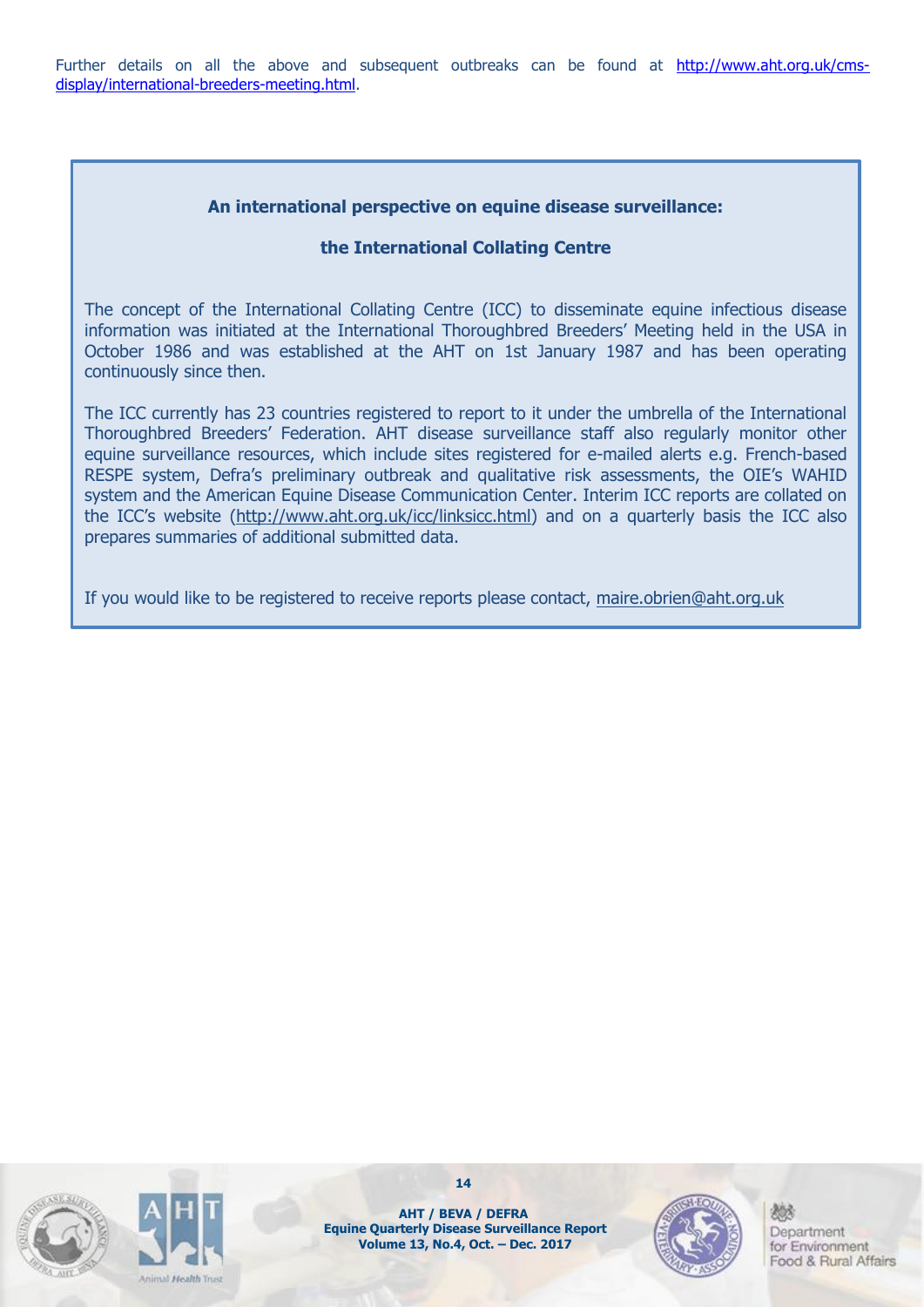Further details on all the above and subsequent outbreaks can be found at [http://www.aht.org.uk/cms](http://www.aht.org.uk/cms-display/international-breeders-meeting.html)[display/international-breeders-meeting.html.](http://www.aht.org.uk/cms-display/international-breeders-meeting.html)

#### **An international perspective on equine disease surveillance:**

#### **the International Collating Centre**

The concept of the International Collating Centre (ICC) to disseminate equine infectious disease information was initiated at the International Thoroughbred Breeders' Meeting held in the USA in October 1986 and was established at the AHT on 1st January 1987 and has been operating continuously since then.

The ICC currently has 23 countries registered to report to it under the umbrella of the International Thoroughbred Breeders' Federation. AHT disease surveillance staff also regularly monitor other equine surveillance resources, which include sites registered for e-mailed alerts e.g. French-based RESPE system, Defra's preliminary outbreak and qualitative risk assessments, the OIE's WAHID system and the American Equine Disease Communication Center. Interim ICC reports are collated on the ICC's website ([http://www.aht.org.uk/icc/linksicc.html\)](http://www.aht.org.uk/icc/linksicc.html) and on a quarterly basis the ICC also prepares summaries of additional submitted data.

If you would like to be registered to receive reports please contact, [maire.obrien@aht.org.uk](mailto:maire.obrien@aht.org.uk)





**14**

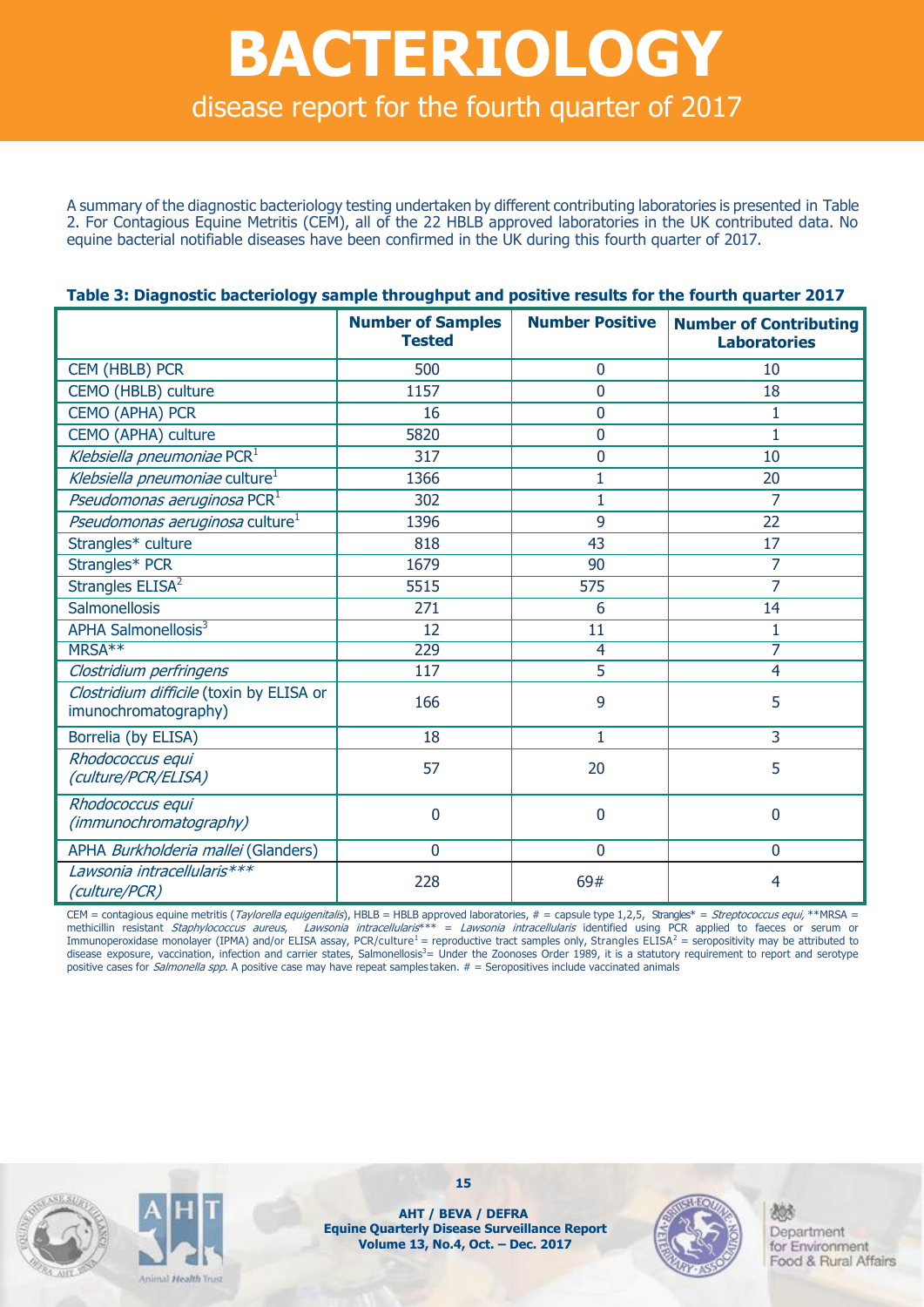## **BACTERIOLOGY** disease report for the fourth quarter of 2017

A summary of the diagnostic bacteriology testing undertaken by different contributing laboratories is presented in Table 2. For Contagious Equine Metritis (CEM), all of the 22 HBLB approved laboratories in the UK contributed data. No equine bacterial notifiable diseases have been confirmed in the UK during this fourth quarter of 2017.

|                                                                  | <b>Number of Samples</b><br><b>Tested</b> | <b>Number Positive</b> | <b>Number of Contributing</b><br><b>Laboratories</b> |
|------------------------------------------------------------------|-------------------------------------------|------------------------|------------------------------------------------------|
| CEM (HBLB) PCR                                                   | 500                                       | $\mathbf 0$            | 10                                                   |
| CEMO (HBLB) culture                                              | 1157                                      | 0                      | 18                                                   |
| <b>CEMO (APHA) PCR</b>                                           | 16                                        | 0                      | $\mathbf{1}$                                         |
| CEMO (APHA) culture                                              | 5820                                      | 0                      | $\mathbf{1}$                                         |
| Klebsiella pneumoniae PCR <sup>1</sup>                           | 317                                       | 0                      | 10                                                   |
| Klebsiella pneumoniae culture <sup>1</sup>                       | 1366                                      | 1                      | 20                                                   |
| Pseudomonas aeruginosa $PCR1$                                    | 302                                       | $\overline{1}$         | 7                                                    |
| <i>Pseudomonas aeruginosa</i> culture <sup>1</sup>               | 1396                                      | 9                      | 22                                                   |
| Strangles* culture                                               | 818                                       | 43                     | 17                                                   |
| Strangles* PCR                                                   | 1679                                      | 90                     | 7                                                    |
| Strangles ELISA <sup>2</sup>                                     | 5515                                      | 575                    | 7                                                    |
| <b>Salmonellosis</b>                                             | 271                                       | 6                      | 14                                                   |
| <b>APHA Salmonellosis3</b>                                       | 12                                        | 11                     | 1                                                    |
| MRSA**                                                           | 229                                       | 4                      | 7                                                    |
| Clostridium perfringens                                          | 117                                       | 5                      | $\overline{4}$                                       |
| Clostridium difficile (toxin by ELISA or<br>imunochromatography) | 166                                       | 9                      | 5                                                    |
| Borrelia (by ELISA)                                              | 18                                        | 1                      | 3                                                    |
| Rhodococcus equi<br>(culture/PCR/ELISA)                          | 57                                        | 20                     | 5                                                    |
| Rhodococcus equi<br>(immunochromatography)                       | 0                                         | 0                      | $\overline{0}$                                       |
| APHA Burkholderia mallei (Glanders)                              | $\Omega$                                  | 0                      | $\Omega$                                             |
| Lawsonia intracellularis***<br>(culture/PCR)                     | 228                                       | 69#                    | 4                                                    |

#### **Table 3: Diagnostic bacteriology sample throughput and positive results for the fourth quarter 2017**

CEM = contagious equine metritis (Taylorella equigenitalis), HBLB = HBLB approved laboratories, # = capsule type 1,2,5, Strangles\* = Streptococcus equi, \*\*MRSA =<br>methicillin resistant Staphylococcus aureus, Lawsonia intrac = Lawsonia intracellularis identified using PCR applied to faeces or serum or Immunoperoxidase monolayer (IPMA) and/or ELISA assay, PCR/culture<sup>1</sup> = reproductive tract samples only, Strangles ELISA<sup>2</sup> = seropositivity may be attributed to disease exposure, vaccination, infection and carrier states, Salmonellosis<sup>3</sup>= Under the Zoonoses Order 1989, it is a statutory requirement to report and serotype positive cases for *Salmonella spp*. A positive case may have repeat samples taken. # = Seropositives include vaccinated animals





**AHT / BEVA / DEFRA Equine Quarterly Disease Surveillance Report Volume 13, No.4, Oct. – Dec. 2017**

**15**

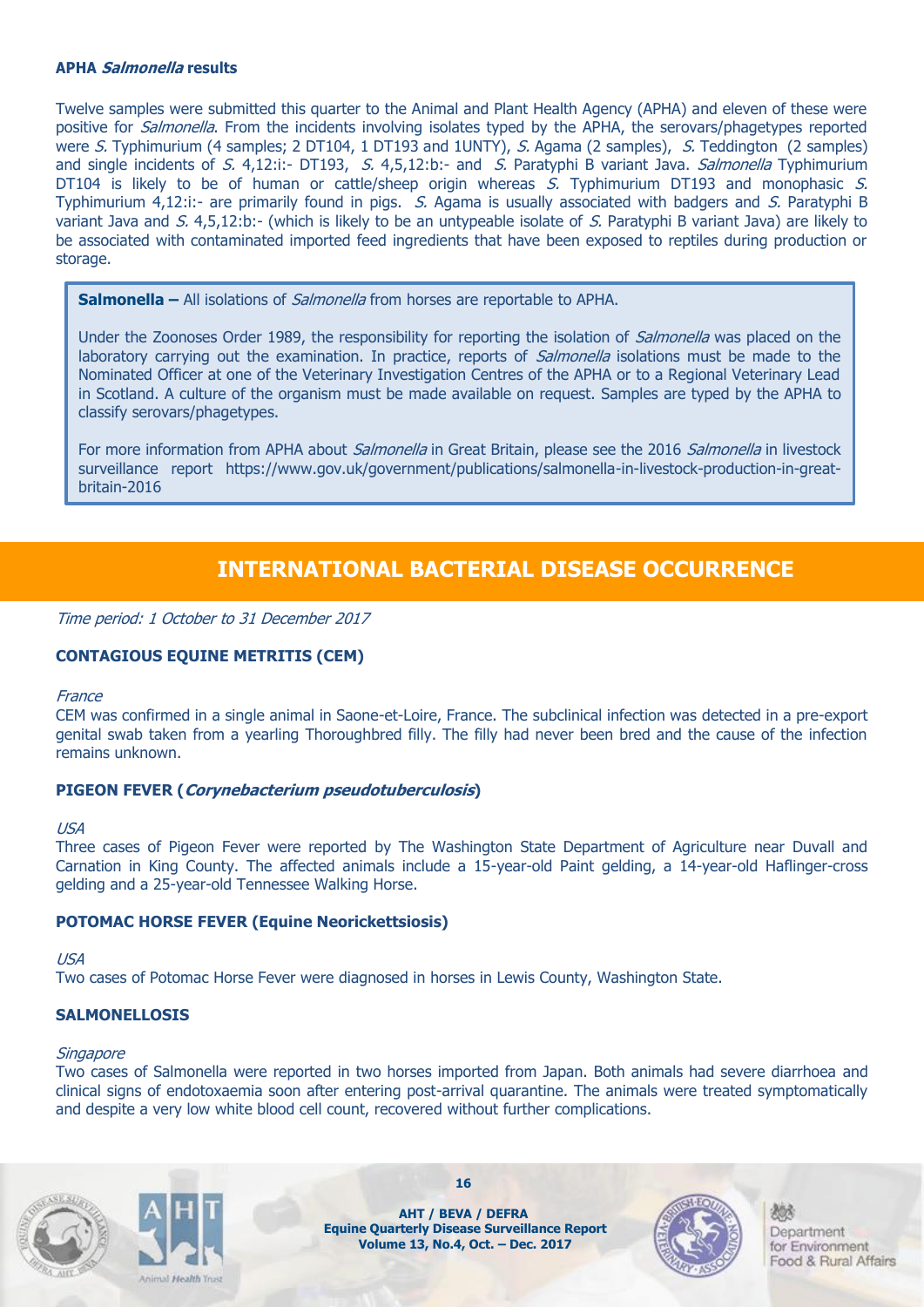#### **APHA Salmonella results**

Twelve samples were submitted this quarter to the Animal and Plant Health Agency (APHA) and eleven of these were positive for *Salmonella*. From the incidents involving isolates typed by the APHA, the serovars/phagetypes reported were S. Typhimurium (4 samples; 2 DT104, 1 DT193 and 1UNTY), S. Agama (2 samples), S. Teddington (2 samples) and single incidents of S. 4,12:i:- DT193, S. 4,5,12:b:- and S. Paratyphi B variant Java. Salmonella Typhimurium DT104 is likely to be of human or cattle/sheep origin whereas S. Typhimurium DT193 and monophasic S. Typhimurium 4,12:i:- are primarily found in pigs. S. Agama is usually associated with badgers and S. Paratyphi B variant Java and S. 4,5,12:b:- (which is likely to be an untypeable isolate of S. Paratyphi B variant Java) are likely to be associated with contaminated imported feed ingredients that have been exposed to reptiles during production or storage.

**Salmonella –** All isolations of *Salmonella* from horses are reportable to APHA.

Under the Zoonoses Order 1989, the responsibility for reporting the isolation of *Salmonella* was placed on the laboratory carrying out the examination. In practice, reports of *Salmonella* isolations must be made to the Nominated Officer at one of the Veterinary Investigation Centres of the APHA or to a Regional Veterinary Lead in Scotland. A culture of the organism must be made available on request. Samples are typed by the APHA to classify serovars/phagetypes.

For more information from APHA about *Salmonella* in Great Britain, please see the 2016 Salmonella in livestock surveillance report https://www.gov.uk/government/publications/salmonella-in-livestock-production-in-greatbritain-2016

### **INTERNATIONAL BACTERIAL DISEASE OCCURRENCE**

Time period: 1 October to 31 December 2017

#### **CONTAGIOUS EQUINE METRITIS (CEM)**

#### **France**

CEM was confirmed in a single animal in Saone-et-Loire, France. The subclinical infection was detected in a pre-export genital swab taken from a yearling Thoroughbred filly. The filly had never been bred and the cause of the infection remains unknown.

#### **PIGEON FEVER (Corynebacterium pseudotuberculosis)**

#### USA

Three cases of Pigeon Fever were reported by The Washington State Department of Agriculture near Duvall and Carnation in King County. The affected animals include a 15-year-old Paint gelding, a 14-year-old Haflinger-cross gelding and a 25-year-old Tennessee Walking Horse.

#### **POTOMAC HORSE FEVER (Equine Neorickettsiosis)**

#### USA

Two cases of Potomac Horse Fever were diagnosed in horses in Lewis County, Washington State.

#### **SALMONELLOSIS**

#### **Singapore**

Two cases of Salmonella were reported in two horses imported from Japan. Both animals had severe diarrhoea and clinical signs of endotoxaemia soon after entering post-arrival quarantine. The animals were treated symptomatically and despite a very low white blood cell count, recovered without further complications.





**AHT / BEVA / DEFRA Equine Quarterly Disease Surveillance Report Volume 13, No.4, Oct. – Dec. 2017**

**16**

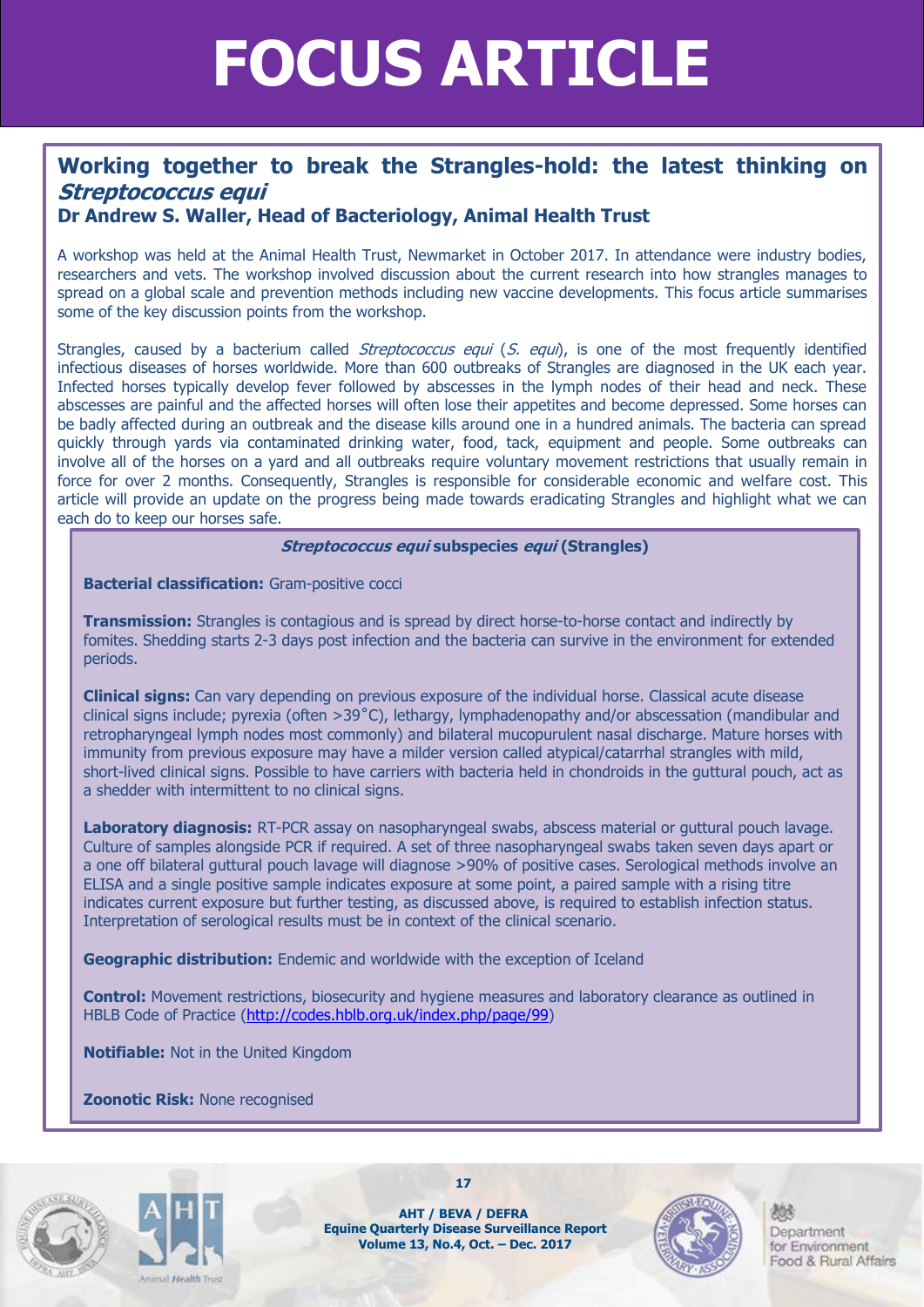## **FOCUS ARTICLE**

## **Working together to break the Strangles-hold: the latest thinking on Streptococcus equi**

### **Dr Andrew S. Waller, Head of Bacteriology, Animal Health Trust**

A workshop was held at the Animal Health Trust, Newmarket in October 2017. In attendance were industry bodies, researchers and vets. The workshop involved discussion about the current research into how strangles manages to spread on a global scale and prevention methods including new vaccine developments. This focus article summarises some of the key discussion points from the workshop.

Strangles, caused by a bacterium called *Streptococcus equi* (S. equi), is one of the most frequently identified infectious diseases of horses worldwide. More than 600 outbreaks of Strangles are diagnosed in the UK each year. Infected horses typically develop fever followed by abscesses in the lymph nodes of their head and neck. These abscesses are painful and the affected horses will often lose their appetites and become depressed. Some horses can be badly affected during an outbreak and the disease kills around one in a hundred animals. The bacteria can spread quickly through yards via contaminated drinking water, food, tack, equipment and people. Some outbreaks can involve all of the horses on a yard and all outbreaks require voluntary movement restrictions that usually remain in force for over 2 months. Consequently, Strangles is responsible for considerable economic and welfare cost. This article will provide an update on the progress being made towards eradicating Strangles and highlight what we can each do to keep our horses safe.

#### **Streptococcus equi subspecies equi (Strangles)**

**Bacterial classification:** Gram-positive cocci

**Transmission:** Strangles is contagious and is spread by direct horse-to-horse contact and indirectly by fomites. Shedding starts 2-3 days post infection and the bacteria can survive in the environment for extended periods.

**Clinical signs:** Can vary depending on previous exposure of the individual horse. Classical acute disease clinical signs include; pyrexia (often >39˚C), lethargy, lymphadenopathy and/or abscessation (mandibular and retropharyngeal lymph nodes most commonly) and bilateral mucopurulent nasal discharge. Mature horses with immunity from previous exposure may have a milder version called atypical/catarrhal strangles with mild, short-lived clinical signs. Possible to have carriers with bacteria held in chondroids in the guttural pouch, act as a shedder with intermittent to no clinical signs.

**Laboratory diagnosis:** RT-PCR assay on nasopharyngeal swabs, abscess material or guttural pouch lavage. Culture of samples alongside PCR if required. A set of three nasopharyngeal swabs taken seven days apart or a one off bilateral guttural pouch lavage will diagnose >90% of positive cases. Serological methods involve an ELISA and a single positive sample indicates exposure at some point, a paired sample with a rising titre indicates current exposure but further testing, as discussed above, is required to establish infection status. Interpretation of serological results must be in context of the clinical scenario.

**Geographic distribution:** Endemic and worldwide with the exception of Iceland

**Control:** Movement restrictions, biosecurity and hygiene measures and laboratory clearance as outlined in HBLB Code of Practice [\(http://codes.hblb.org.uk/index.php/page/99\)](http://codes.hblb.org.uk/index.php/page/99)

**Notifiable:** Not in the United Kingdom

**Zoonotic Risk:** None recognised





**AHT / BEVA / DEFRA Equine Quarterly Disease Surveillance Report Volume 13, No.4, Oct. – Dec. 2017**

**17**

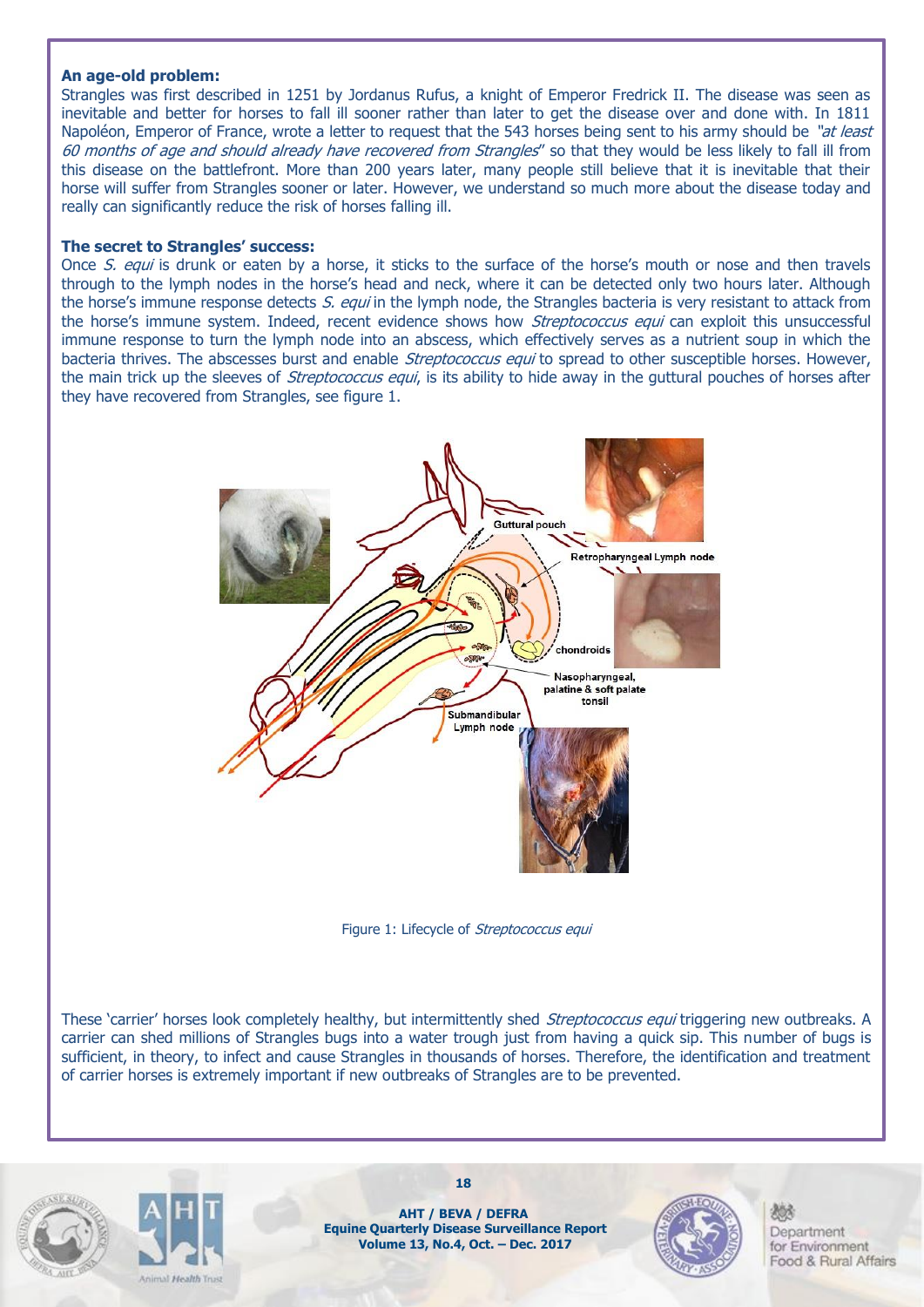#### **An age-old problem:**

Strangles was first described in 1251 by Jordanus Rufus, a knight of Emperor Fredrick II. The disease was seen as inevitable and better for horses to fall ill sooner rather than later to get the disease over and done with. In 1811 Napoléon, Emperor of France, wrote a letter to request that the 543 horses being sent to his army should be "at least 60 months of age and should already have recovered from Strangles" so that they would be less likely to fall ill from this disease on the battlefront. More than 200 years later, many people still believe that it is inevitable that their horse will suffer from Strangles sooner or later. However, we understand so much more about the disease today and really can significantly reduce the risk of horses falling ill.

#### **The secret to Strangles' success:**

Once S, equi is drunk or eaten by a horse, it sticks to the surface of the horse's mouth or nose and then travels through to the lymph nodes in the horse's head and neck, where it can be detected only two hours later. Although the horse's immune response detects S. equi in the lymph node, the Strangles bacteria is very resistant to attack from the horse's immune system. Indeed, recent evidence shows how *Streptococcus equi* can exploit this unsuccessful immune response to turn the lymph node into an abscess, which effectively serves as a nutrient soup in which the bacteria thrives. The abscesses burst and enable *Streptococcus equi* to spread to other susceptible horses. However, the main trick up the sleeves of *Streptococcus equi*, is its ability to hide away in the guttural pouches of horses after they have recovered from Strangles, see figure 1.



Figure 1: Lifecycle of Streptococcus equi

These 'carrier' horses look completely healthy, but intermittently shed Streptococcus equi triggering new outbreaks. A carrier can shed millions of Strangles bugs into a water trough just from having a quick sip. This number of bugs is sufficient, in theory, to infect and cause Strangles in thousands of horses. Therefore, the identification and treatment of carrier horses is extremely important if new outbreaks of Strangles are to be prevented.





**AHT / BEVA / DEFRA Equine Quarterly Disease Surveillance Report Volume 13, No.4, Oct. – Dec. 2017**

**18**

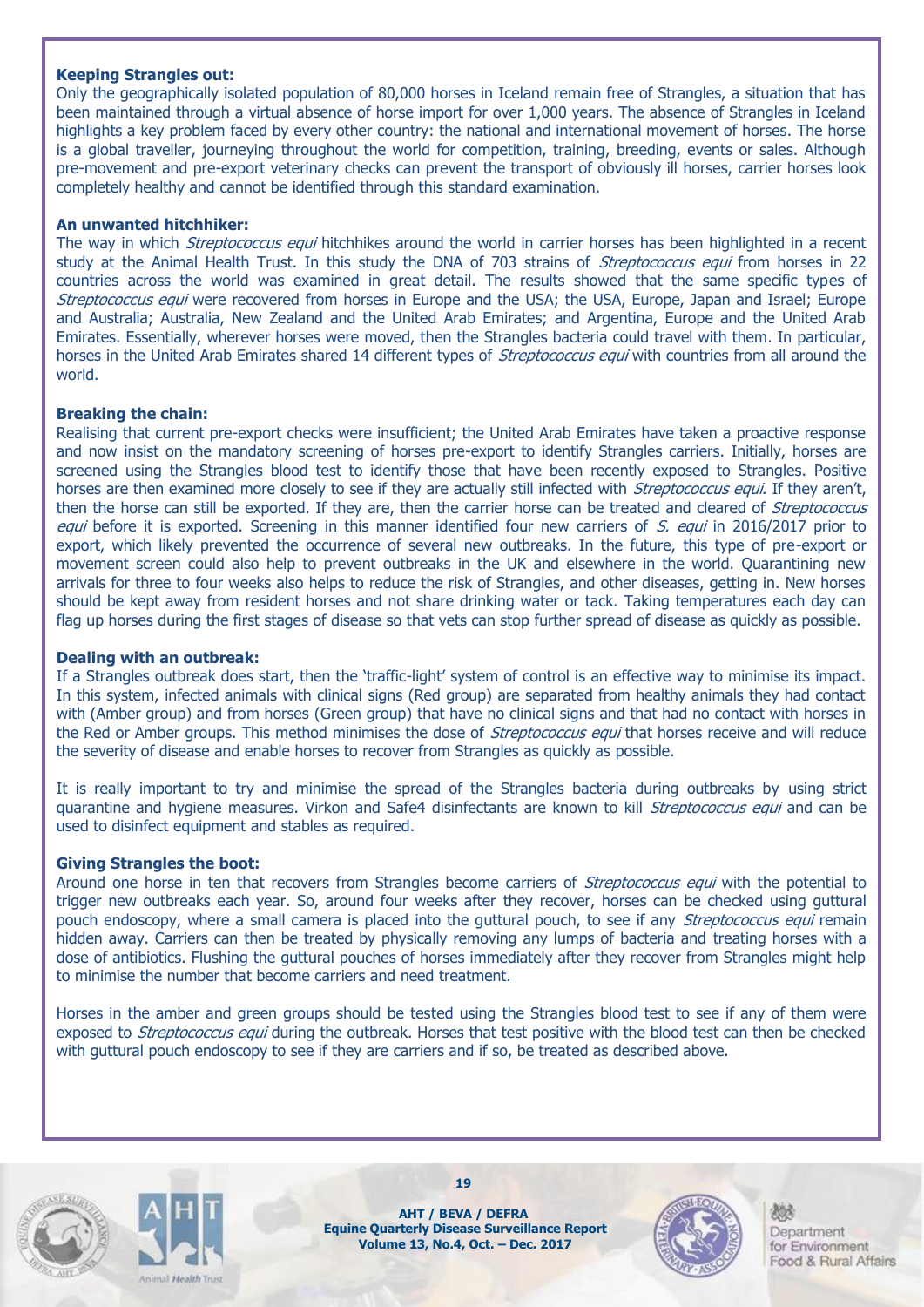#### **Keeping Strangles out:**

Only the geographically isolated population of 80,000 horses in Iceland remain free of Strangles, a situation that has been maintained through a virtual absence of horse import for over 1,000 years. The absence of Strangles in Iceland highlights a key problem faced by every other country: the national and international movement of horses. The horse is a global traveller, journeying throughout the world for competition, training, breeding, events or sales. Although pre-movement and pre-export veterinary checks can prevent the transport of obviously ill horses, carrier horses look completely healthy and cannot be identified through this standard examination.

#### **An unwanted hitchhiker:**

The way in which *Streptococcus equi* hitchhikes around the world in carrier horses has been highlighted in a recent study at the Animal Health Trust. In this study the DNA of 703 strains of Streptococcus equi from horses in 22 countries across the world was examined in great detail. The results showed that the same specific types of Streptococcus equi were recovered from horses in Europe and the USA; the USA, Europe, Japan and Israel; Europe and Australia; Australia, New Zealand and the United Arab Emirates; and Argentina, Europe and the United Arab Emirates. Essentially, wherever horses were moved, then the Strangles bacteria could travel with them. In particular, horses in the United Arab Emirates shared 14 different types of *Streptococcus equi* with countries from all around the world.

#### **Breaking the chain:**

Realising that current pre-export checks were insufficient; the United Arab Emirates have taken a proactive response and now insist on the mandatory screening of horses pre-export to identify Strangles carriers. Initially, horses are screened using the Strangles blood test to identify those that have been recently exposed to Strangles. Positive horses are then examined more closely to see if they are actually still infected with *Streptococcus equi*. If they aren't, then the horse can still be exported. If they are, then the carrier horse can be treated and cleared of *Streptococcus* equi before it is exported. Screening in this manner identified four new carriers of S. equi in 2016/2017 prior to export, which likely prevented the occurrence of several new outbreaks. In the future, this type of pre-export or movement screen could also help to prevent outbreaks in the UK and elsewhere in the world. Quarantining new arrivals for three to four weeks also helps to reduce the risk of Strangles, and other diseases, getting in. New horses should be kept away from resident horses and not share drinking water or tack. Taking temperatures each day can flag up horses during the first stages of disease so that vets can stop further spread of disease as quickly as possible.

#### **Dealing with an outbreak:**

If a Strangles outbreak does start, then the 'traffic-light' system of control is an effective way to minimise its impact. In this system, infected animals with clinical signs (Red group) are separated from healthy animals they had contact with (Amber group) and from horses (Green group) that have no clinical signs and that had no contact with horses in the Red or Amber groups. This method minimises the dose of *Streptococcus equi* that horses receive and will reduce the severity of disease and enable horses to recover from Strangles as quickly as possible.

It is really important to try and minimise the spread of the Strangles bacteria during outbreaks by using strict quarantine and hygiene measures. Virkon and Safe4 disinfectants are known to kill Streptococcus equi and can be used to disinfect equipment and stables as required.

#### **Giving Strangles the boot:**

Around one horse in ten that recovers from Strangles become carriers of *Streptococcus equi* with the potential to trigger new outbreaks each year. So, around four weeks after they recover, horses can be checked using guttural pouch endoscopy, where a small camera is placed into the guttural pouch, to see if any *Streptococcus equi* remain hidden away. Carriers can then be treated by physically removing any lumps of bacteria and treating horses with a dose of antibiotics. Flushing the guttural pouches of horses immediately after they recover from Strangles might help to minimise the number that become carriers and need treatment.

Horses in the amber and green groups should be tested using the Strangles blood test to see if any of them were exposed to *Streptococcus equi* during the outbreak. Horses that test positive with the blood test can then be checked with guttural pouch endoscopy to see if they are carriers and if so, be treated as described above.





**AHT / BEVA / DEFRA Equine Quarterly Disease Surveillance Report Volume 13, No.4, Oct. – Dec. 2017**

**19**

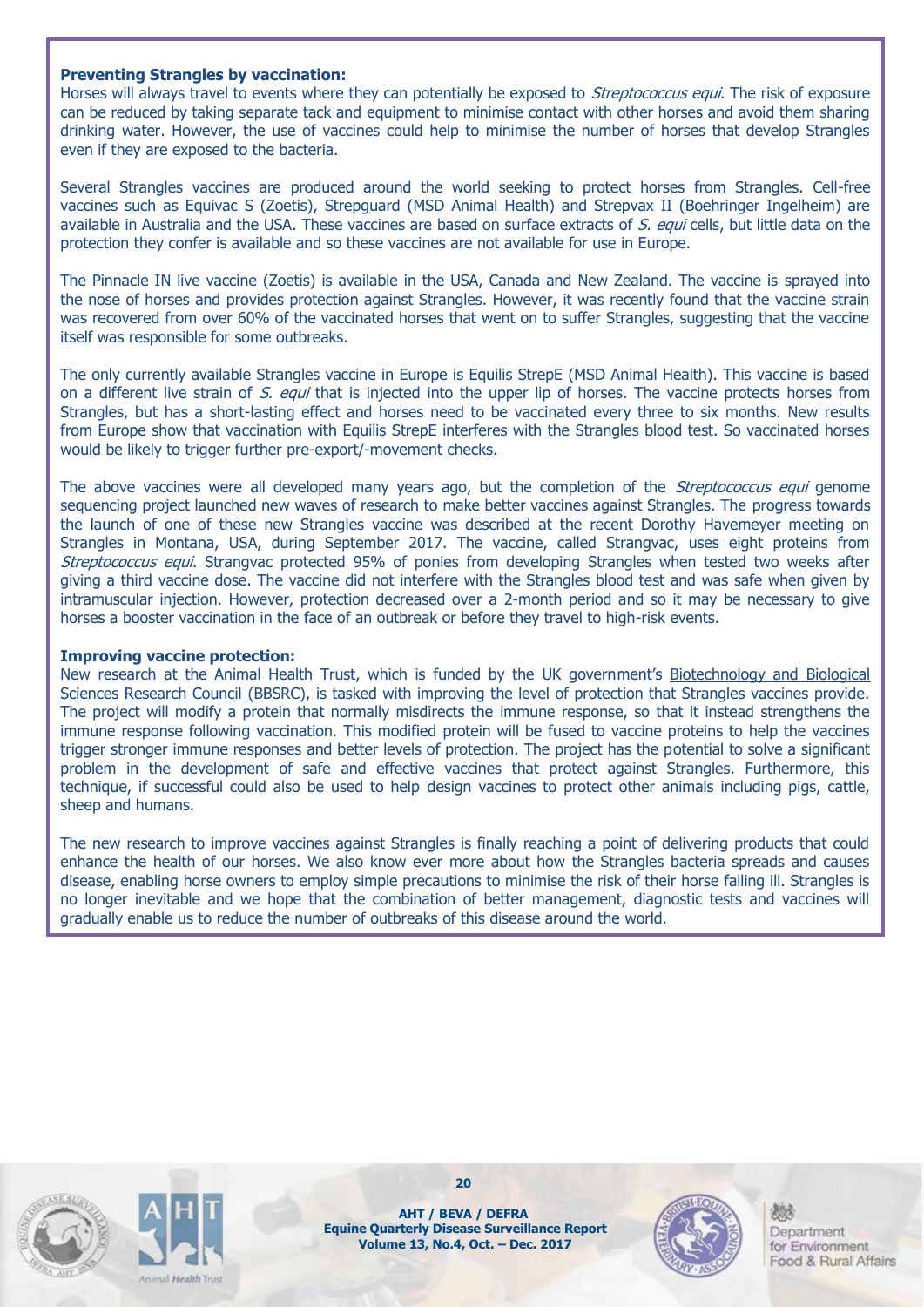#### **Preventing Strangles by vaccination:**

Horses will always travel to events where they can potentially be exposed to Streptococcus equi. The risk of exposure can be reduced by taking separate tack and equipment to minimise contact with other horses and avoid them sharing drinking water. However, the use of vaccines could help to minimise the number of horses that develop Strangles even if they are exposed to the bacteria.

Several Strangles vaccines are produced around the world seeking to protect horses from Strangles. Cell-free vaccines such as Equivac S (Zoetis), Strepguard (MSD Animal Health) and Strepvax II (Boehringer Ingelheim) are available in Australia and the USA. These vaccines are based on surface extracts of S. equi cells, but little data on the protection they confer is available and so these vaccines are not available for use in Europe.

The Pinnacle IN live vaccine (Zoetis) is available in the USA, Canada and New Zealand. The vaccine is sprayed into the nose of horses and provides protection against Strangles. However, it was recently found that the vaccine strain was recovered from over 60% of the vaccinated horses that went on to suffer Strangles, suggesting that the vaccine itself was responsible for some outbreaks.

The only currently available Strangles vaccine in Europe is Equilis StrepE (MSD Animal Health). This vaccine is based on a different live strain of S. equi that is injected into the upper lip of horses. The vaccine protects horses from Strangles, but has a short-lasting effect and horses need to be vaccinated every three to six months. New results from Europe show that vaccination with Equilis StrepE interferes with the Strangles blood test. So vaccinated horses would be likely to trigger further pre-export/-movement checks.

The above vaccines were all developed many vears ago, but the completion of the *Streptococcus equi* genome sequencing project launched new waves of research to make better vaccines against Strangles. The progress towards the launch of one of these new Strangles vaccine was described at the recent Dorothy Havemeyer meeting on Strangles in Montana, USA, during September 2017. The vaccine, called Strangvac, uses eight proteins from Streptococcus equi. Strangvac protected 95% of ponies from developing Strangles when tested two weeks after giving a third vaccine dose. The vaccine did not interfere with the Strangles blood test and was safe when given by intramuscular injection. However, protection decreased over a 2-month period and so it may be necessary to give horses a booster vaccination in the face of an outbreak or before they travel to high-risk events.

#### **Improving vaccine protection:**

New research at the Animal Health Trust, which is funded by the UK government's [Biotechnology and Biological](http://www.bbsrc.ac.uk/)  [Sciences Research Council](http://www.bbsrc.ac.uk/) (BBSRC), is tasked with improving the level of protection that Strangles vaccines provide. The project will modify a protein that normally misdirects the immune response, so that it instead strengthens the immune response following vaccination. This modified protein will be fused to vaccine proteins to help the vaccines trigger stronger immune responses and better levels of protection. The project has the potential to solve a significant problem in the development of safe and effective vaccines that protect against Strangles. Furthermore, this technique, if successful could also be used to help design vaccines to protect other animals including pigs, cattle, sheep and humans.

The new research to improve vaccines against Strangles is finally reaching a point of delivering products that could enhance the health of our horses. We also know ever more about how the Strangles bacteria spreads and causes disease, enabling horse owners to employ simple precautions to minimise the risk of their horse falling ill. Strangles is no longer inevitable and we hope that the combination of better management, diagnostic tests and vaccines will gradually enable us to reduce the number of outbreaks of this disease around the world.





**20**

**AHT / BEVA / DEFRA Equine Quarterly Disease Surveillance Report Volume 13, No.4, Oct. – Dec. 2017**

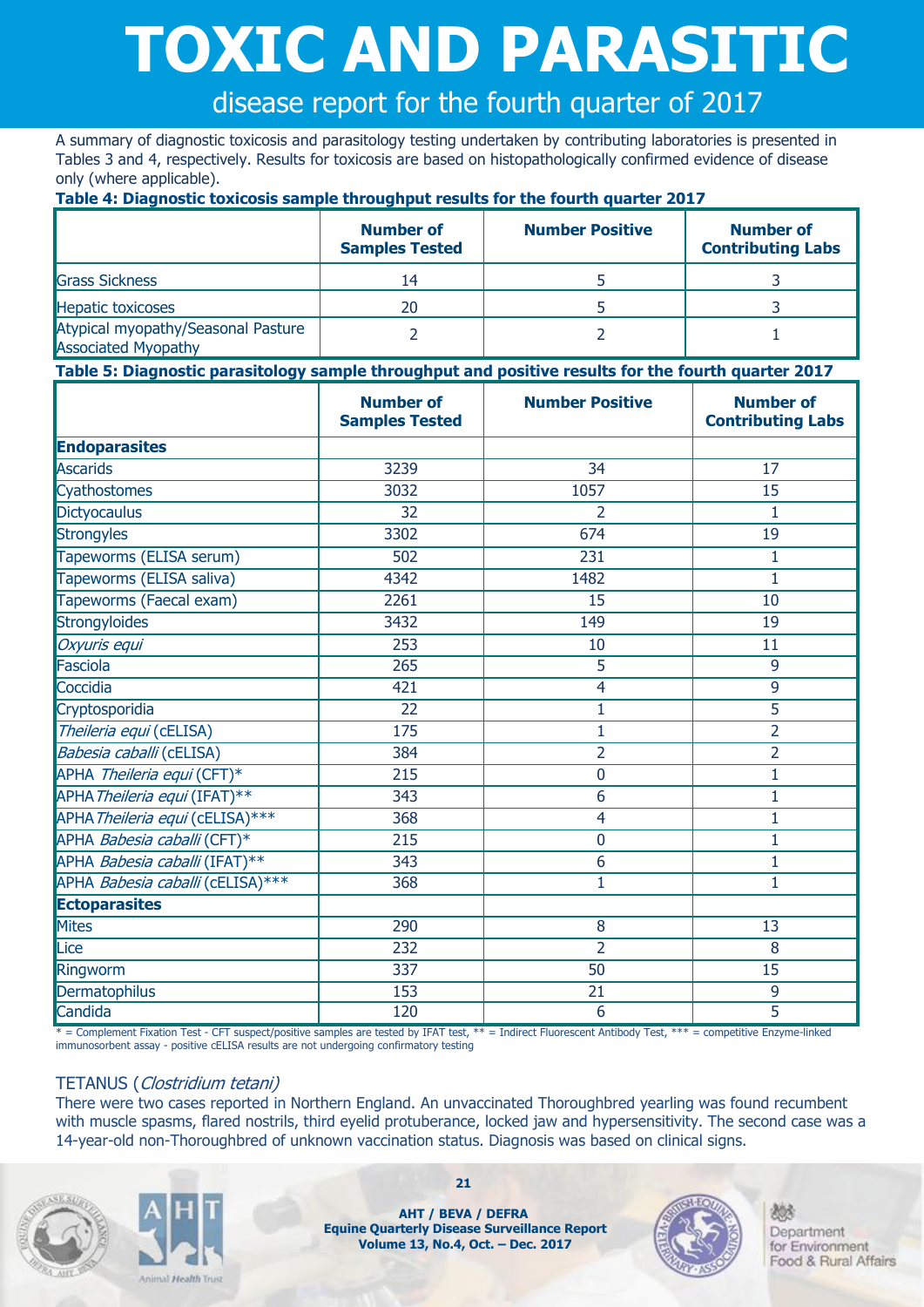# **TOXIC AND PARASITIC**

disease report for the fourth quarter of 2017

A summary of diagnostic toxicosis and parasitology testing undertaken by contributing laboratories is presented in Tables 3 and 4, respectively. Results for toxicosis are based on histopathologically confirmed evidence of disease only (where applicable).

**Table 4: Diagnostic toxicosis sample throughput results for the fourth quarter 2017**

|                                                                  | <b>Number of</b><br><b>Samples Tested</b> | <b>Number Positive</b> | <b>Number of</b><br><b>Contributing Labs</b> |
|------------------------------------------------------------------|-------------------------------------------|------------------------|----------------------------------------------|
| <b>Grass Sickness</b>                                            | 14                                        |                        |                                              |
| <b>Hepatic toxicoses</b>                                         | 20                                        |                        |                                              |
| Atypical myopathy/Seasonal Pasture<br><b>Associated Myopathy</b> |                                           |                        |                                              |

#### **Table 5: Diagnostic parasitology sample throughput and positive results for the fourth quarter 2017**

|                                  | <b>Number of</b><br><b>Samples Tested</b> | <b>Number Positive</b> | <b>Number of</b><br><b>Contributing Labs</b> |
|----------------------------------|-------------------------------------------|------------------------|----------------------------------------------|
| <b>Endoparasites</b>             |                                           |                        |                                              |
| Ascarids                         | 3239                                      | $\overline{34}$        | 17                                           |
| Cyathostomes                     | 3032                                      | 1057                   | 15                                           |
| <b>Dictyocaulus</b>              | 32                                        | 2                      | 1                                            |
| <b>Strongyles</b>                | 3302                                      | 674                    | 19                                           |
| Tapeworms (ELISA serum)          | 502                                       | 231                    | 1                                            |
| Tapeworms (ELISA saliva)         | 4342                                      | 1482                   | 1                                            |
| Tapeworms (Faecal exam)          | 2261                                      | 15                     | 10                                           |
| <b>Strongyloides</b>             | 3432                                      | 149                    | 19                                           |
| Oxyuris equi                     | 253                                       | 10                     | 11                                           |
| Fasciola                         | 265                                       | 5                      | 9                                            |
| Coccidia                         | 421                                       | $\overline{4}$         | 9                                            |
| Cryptosporidia                   | 22                                        | $\mathbf 1$            | $\overline{5}$                               |
| Theileria equi (cELISA)          | 175                                       | $\mathbf 1$            | $\overline{2}$                               |
| Babesia caballi (cELISA)         | 384                                       | $\overline{2}$         | $\overline{2}$                               |
| APHA Theileria equi (CFT)*       | 215                                       | $\overline{0}$         | $\mathbf{1}$                                 |
| APHA Theileria equi (IFAT)**     | 343                                       | 6                      | $\mathbf{1}$                                 |
| APHA Theileria equi (cELISA)***  | 368                                       | $\overline{4}$         | $\overline{1}$                               |
| APHA Babesia caballi (CFT)*      | 215                                       | $\mathbf 0$            | 1                                            |
| APHA Babesia caballi (IFAT)**    | 343                                       | 6                      | $\mathbf{1}$                                 |
| APHA Babesia caballi (cELISA)*** | 368                                       | 1                      | $\mathbf{1}$                                 |
| <b>Ectoparasites</b>             |                                           |                        |                                              |
| <b>Mites</b>                     | 290                                       | 8                      | 13                                           |
| Lice                             | 232                                       | $\overline{2}$         | 8                                            |
| Ringworm                         | 337                                       | 50                     | $\overline{15}$                              |
| Dermatophilus                    | 153                                       | 21                     | 9                                            |
| Candida                          | 120                                       | $\overline{6}$         | $\overline{5}$                               |

\* = Complement Fixation Test - CFT suspect/positive samples are tested by IFAT test, \*\* = Indirect Fluorescent Antibody Test, \*\*\* = competitive Enzyme-linked immunosorbent assay - positive cELISA results are not undergoing confirmatory testing

#### TETANUS (Clostridium tetani)

There were two cases reported in Northern England. An unvaccinated Thoroughbred yearling was found recumbent with muscle spasms, flared nostrils, third eyelid protuberance, locked jaw and hypersensitivity. The second case was a 14-year-old non-Thoroughbred of unknown vaccination status. Diagnosis was based on clinical signs.





**21**

**AHT / BEVA / DEFRA Equine Quarterly Disease Surveillance Report Volume 13, No.4, Oct. – Dec. 2017**

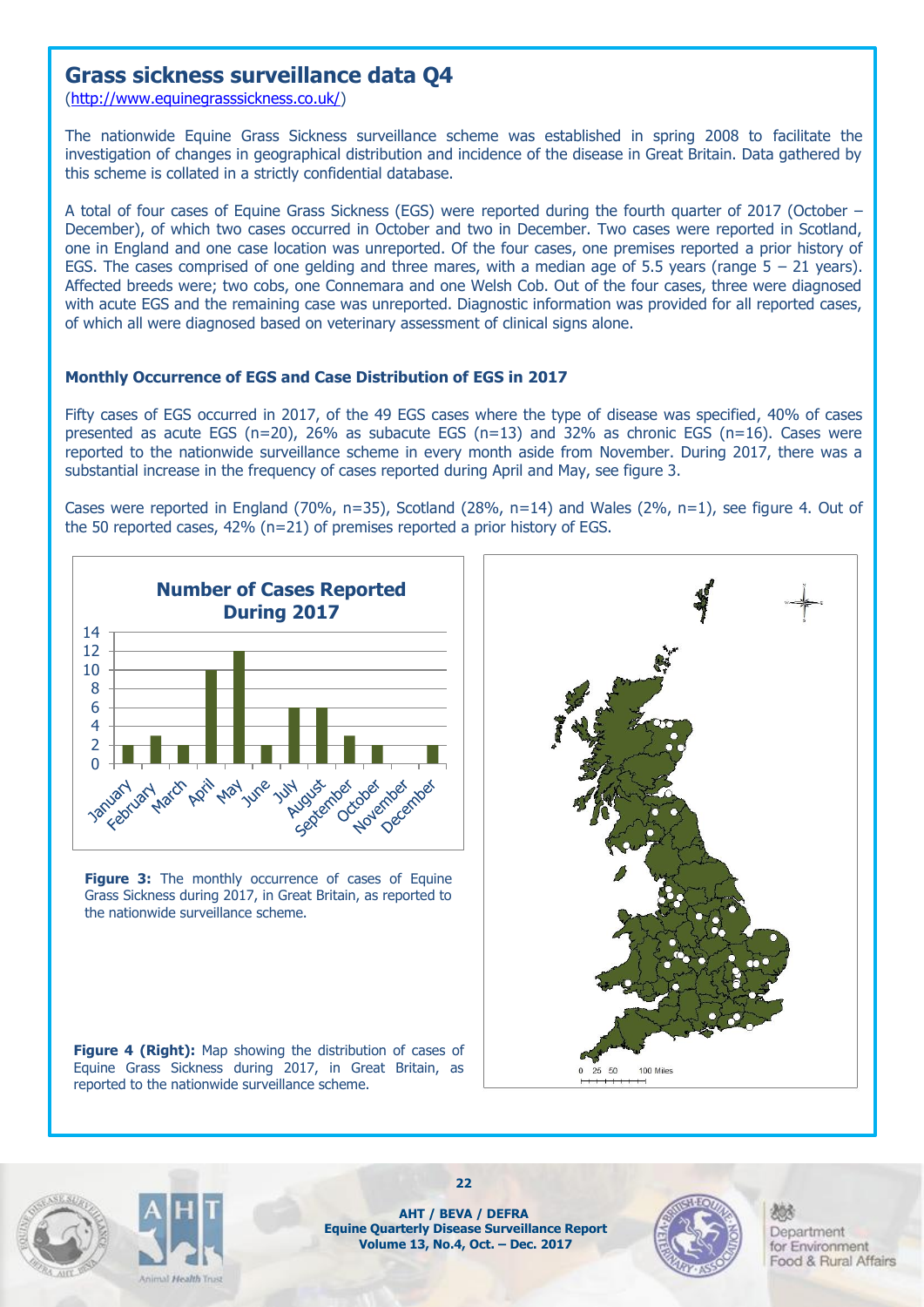### **Grass sickness surveillance data Q4**

[\(http://www.equinegrasssickness.co.uk/\)](http://www.equinegrasssickness.co.uk/)

The nationwide Equine Grass Sickness surveillance scheme was established in spring 2008 to facilitate the investigation of changes in geographical distribution and incidence of the disease in Great Britain. Data gathered by this scheme is collated in a strictly confidential database.

A total of four cases of Equine Grass Sickness (EGS) were reported during the fourth quarter of 2017 (October – December), of which two cases occurred in October and two in December. Two cases were reported in Scotland, one in England and one case location was unreported. Of the four cases, one premises reported a prior history of EGS. The cases comprised of one gelding and three mares, with a median age of 5.5 years (range  $5 - 21$  years). Affected breeds were; two cobs, one Connemara and one Welsh Cob. Out of the four cases, three were diagnosed with acute EGS and the remaining case was unreported. Diagnostic information was provided for all reported cases, of which all were diagnosed based on veterinary assessment of clinical signs alone.

#### **Monthly Occurrence of EGS and Case Distribution of EGS in 2017**

Fifty cases of EGS occurred in 2017, of the 49 EGS cases where the type of disease was specified, 40% of cases presented as acute EGS (n=20), 26% as subacute EGS (n=13) and 32% as chronic EGS (n=16). Cases were reported to the nationwide surveillance scheme in every month aside from November. During 2017, there was a substantial increase in the frequency of cases reported during April and May, see figure 3.

Cases were reported in England (70%, n=35), Scotland (28%, n=14) and Wales (2%, n=1), see figure 4. Out of the 50 reported cases, 42% (n=21) of premises reported a prior history of EGS.



**Figure 3:** The monthly occurrence of cases of Equine Grass Sickness during 2017, in Great Britain, as reported to the nationwide surveillance scheme.



**Figure 4 (Right):** Map showing the distribution of cases of Equine Grass Sickness during 2017, in Great Britain, as reported to the nationwide surveillance scheme.





**AHT / BEVA / DEFRA Equine Quarterly Disease Surveillance Report Volume 13, No.4, Oct. – Dec. 2017**

**22**

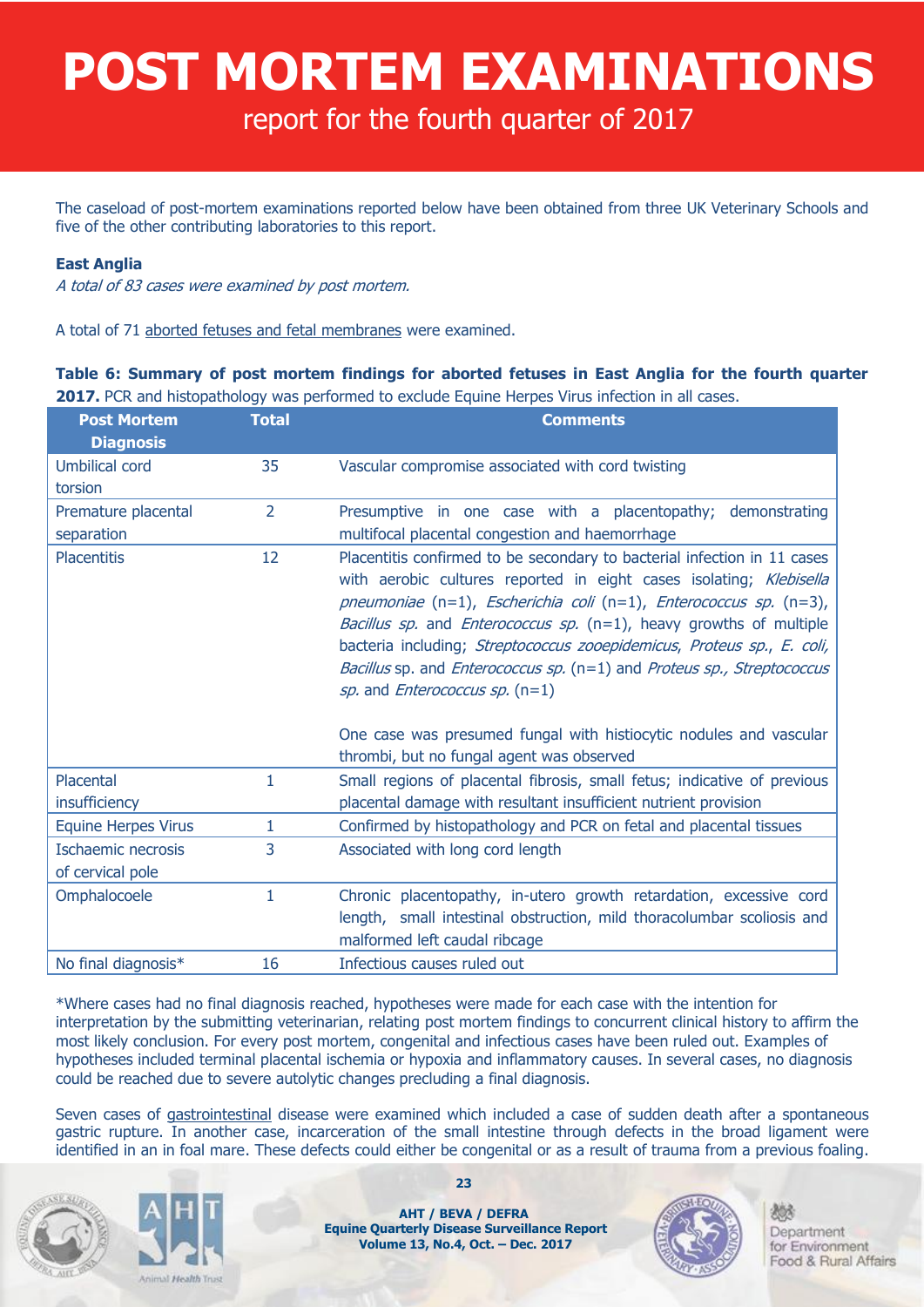## **POST MORTEM EXAMINATIONS**

report for the fourth quarter of 2017

The caseload of post-mortem examinations reported below have been obtained from three UK Veterinary Schools and five of the other contributing laboratories to this report.

#### **East Anglia**

A total of 83 cases were examined by post mortem.

A total of 71 aborted fetuses and fetal membranes were examined.

#### **Table 6: Summary of post mortem findings for aborted fetuses in East Anglia for the fourth quarter 2017.** PCR and histopathology was performed to exclude Equine Herpes Virus infection in all cases.

| <b>Post Mortem</b><br><b>Diagnosis</b> | <b>Total</b>   | <b>Comments</b>                                                                                                                                                                                                                                                                                                                                                                                                                                                                                                                                                                           |
|----------------------------------------|----------------|-------------------------------------------------------------------------------------------------------------------------------------------------------------------------------------------------------------------------------------------------------------------------------------------------------------------------------------------------------------------------------------------------------------------------------------------------------------------------------------------------------------------------------------------------------------------------------------------|
| <b>Umbilical cord</b>                  | 35             | Vascular compromise associated with cord twisting                                                                                                                                                                                                                                                                                                                                                                                                                                                                                                                                         |
| torsion                                |                |                                                                                                                                                                                                                                                                                                                                                                                                                                                                                                                                                                                           |
| Premature placental                    | $\overline{2}$ | Presumptive in one case with a placentopathy; demonstrating                                                                                                                                                                                                                                                                                                                                                                                                                                                                                                                               |
| separation                             |                | multifocal placental congestion and haemorrhage                                                                                                                                                                                                                                                                                                                                                                                                                                                                                                                                           |
| <b>Placentitis</b>                     | 12             | Placentitis confirmed to be secondary to bacterial infection in 11 cases<br>with aerobic cultures reported in eight cases isolating; Klebisella<br>pneumoniae $(n=1)$ , Escherichia coli $(n=1)$ , Enterococcus sp. $(n=3)$ ,<br><i>Bacillus sp.</i> and <i>Enterococcus sp.</i> $(n=1)$ , heavy growths of multiple<br>bacteria including; Streptococcus zooepidemicus, Proteus sp., E. coli,<br>Bacillus sp. and Enterococcus sp. (n=1) and Proteus sp., Streptococcus<br>sp. and <i>Enterococcus sp.</i> $(n=1)$<br>One case was presumed fungal with histiocytic nodules and vascular |
|                                        |                | thrombi, but no fungal agent was observed                                                                                                                                                                                                                                                                                                                                                                                                                                                                                                                                                 |
| Placental                              | 1              | Small regions of placental fibrosis, small fetus; indicative of previous                                                                                                                                                                                                                                                                                                                                                                                                                                                                                                                  |
| insufficiency                          |                | placental damage with resultant insufficient nutrient provision                                                                                                                                                                                                                                                                                                                                                                                                                                                                                                                           |
| <b>Equine Herpes Virus</b>             | 1              | Confirmed by histopathology and PCR on fetal and placental tissues                                                                                                                                                                                                                                                                                                                                                                                                                                                                                                                        |
| Ischaemic necrosis                     | 3              | Associated with long cord length                                                                                                                                                                                                                                                                                                                                                                                                                                                                                                                                                          |
| of cervical pole                       |                |                                                                                                                                                                                                                                                                                                                                                                                                                                                                                                                                                                                           |
| Omphalocoele                           | $\mathbf{1}$   | Chronic placentopathy, in-utero growth retardation, excessive cord<br>length, small intestinal obstruction, mild thoracolumbar scoliosis and<br>malformed left caudal ribcage                                                                                                                                                                                                                                                                                                                                                                                                             |
| No final diagnosis*                    | 16             | Infectious causes ruled out                                                                                                                                                                                                                                                                                                                                                                                                                                                                                                                                                               |

\*Where cases had no final diagnosis reached, hypotheses were made for each case with the intention for interpretation by the submitting veterinarian, relating post mortem findings to concurrent clinical history to affirm the most likely conclusion. For every post mortem, congenital and infectious cases have been ruled out. Examples of hypotheses included terminal placental ischemia or hypoxia and inflammatory causes. In several cases, no diagnosis could be reached due to severe autolytic changes precluding a final diagnosis.

Seven cases of gastrointestinal disease were examined which included a case of sudden death after a spontaneous gastric rupture. In another case, incarceration of the small intestine through defects in the broad ligament were identified in an in foal mare. These defects could either be congenital or as a result of trauma from a previous foaling.





**23**

**AHT / BEVA / DEFRA Equine Quarterly Disease Surveillance Report Volume 13, No.4, Oct. – Dec. 2017**

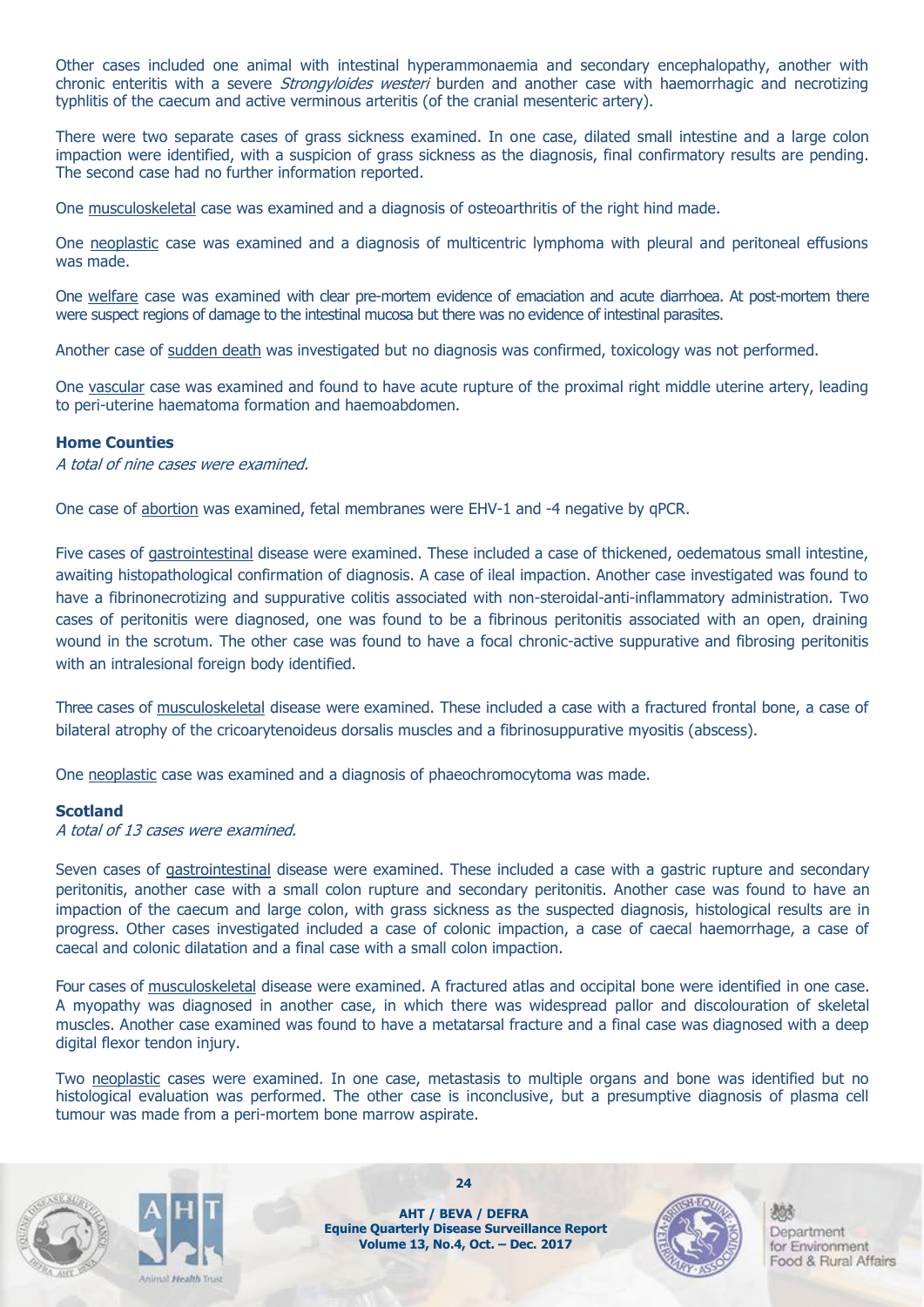Other cases included one animal with intestinal hyperammonaemia and secondary encephalopathy, another with chronic enteritis with a severe *Strongyloides westeri* burden and another case with haemorrhagic and necrotizing typhlitis of the caecum and active verminous arteritis (of the cranial mesenteric artery).

There were two separate cases of grass sickness examined. In one case, dilated small intestine and a large colon impaction were identified, with a suspicion of grass sickness as the diagnosis, final confirmatory results are pending. The second case had no further information reported.

One musculoskeletal case was examined and a diagnosis of osteoarthritis of the right hind made.

One neoplastic case was examined and a diagnosis of multicentric lymphoma with pleural and peritoneal effusions was made.

One welfare case was examined with clear pre-mortem evidence of emaciation and acute diarrhoea. At post-mortem there were suspect regions of damage to the intestinal mucosa but there was no evidence of intestinal parasites.

Another case of sudden death was investigated but no diagnosis was confirmed, toxicology was not performed.

One vascular case was examined and found to have acute rupture of the proximal right middle uterine artery, leading to peri-uterine haematoma formation and haemoabdomen.

#### **Home Counties**

A total of nine cases were examined.

One case of abortion was examined, fetal membranes were EHV-1 and -4 negative by qPCR.

Five cases of gastrointestinal disease were examined. These included a case of thickened, oedematous small intestine, awaiting histopathological confirmation of diagnosis. A case of ileal impaction. Another case investigated was found to have a fibrinonecrotizing and suppurative colitis associated with non-steroidal-anti-inflammatory administration. Two cases of peritonitis were diagnosed, one was found to be a fibrinous peritonitis associated with an open, draining wound in the scrotum. The other case was found to have a focal chronic-active suppurative and fibrosing peritonitis with an intralesional foreign body identified.

Three cases of musculoskeletal disease were examined. These included a case with a fractured frontal bone, a case of bilateral atrophy of the cricoarytenoideus dorsalis muscles and a fibrinosuppurative myositis (abscess).

One neoplastic case was examined and a diagnosis of phaeochromocytoma was made.

#### **Scotland**

A total of 13 cases were examined.

Seven cases of gastrointestinal disease were examined. These included a case with a gastric rupture and secondary peritonitis, another case with a small colon rupture and secondary peritonitis. Another case was found to have an impaction of the caecum and large colon, with grass sickness as the suspected diagnosis, histological results are in progress. Other cases investigated included a case of colonic impaction, a case of caecal haemorrhage, a case of caecal and colonic dilatation and a final case with a small colon impaction.

Four cases of musculoskeletal disease were examined. A fractured atlas and occipital bone were identified in one case. A myopathy was diagnosed in another case, in which there was widespread pallor and discolouration of skeletal muscles. Another case examined was found to have a metatarsal fracture and a final case was diagnosed with a deep digital flexor tendon injury.

Two neoplastic cases were examined. In one case, metastasis to multiple organs and bone was identified but no histological evaluation was performed. The other case is inconclusive, but a presumptive diagnosis of plasma cell tumour was made from a peri-mortem bone marrow aspirate.





**AHT / BEVA / DEFRA Equine Quarterly Disease Surveillance Report Volume 13, No.4, Oct. – Dec. 2017**

**24**

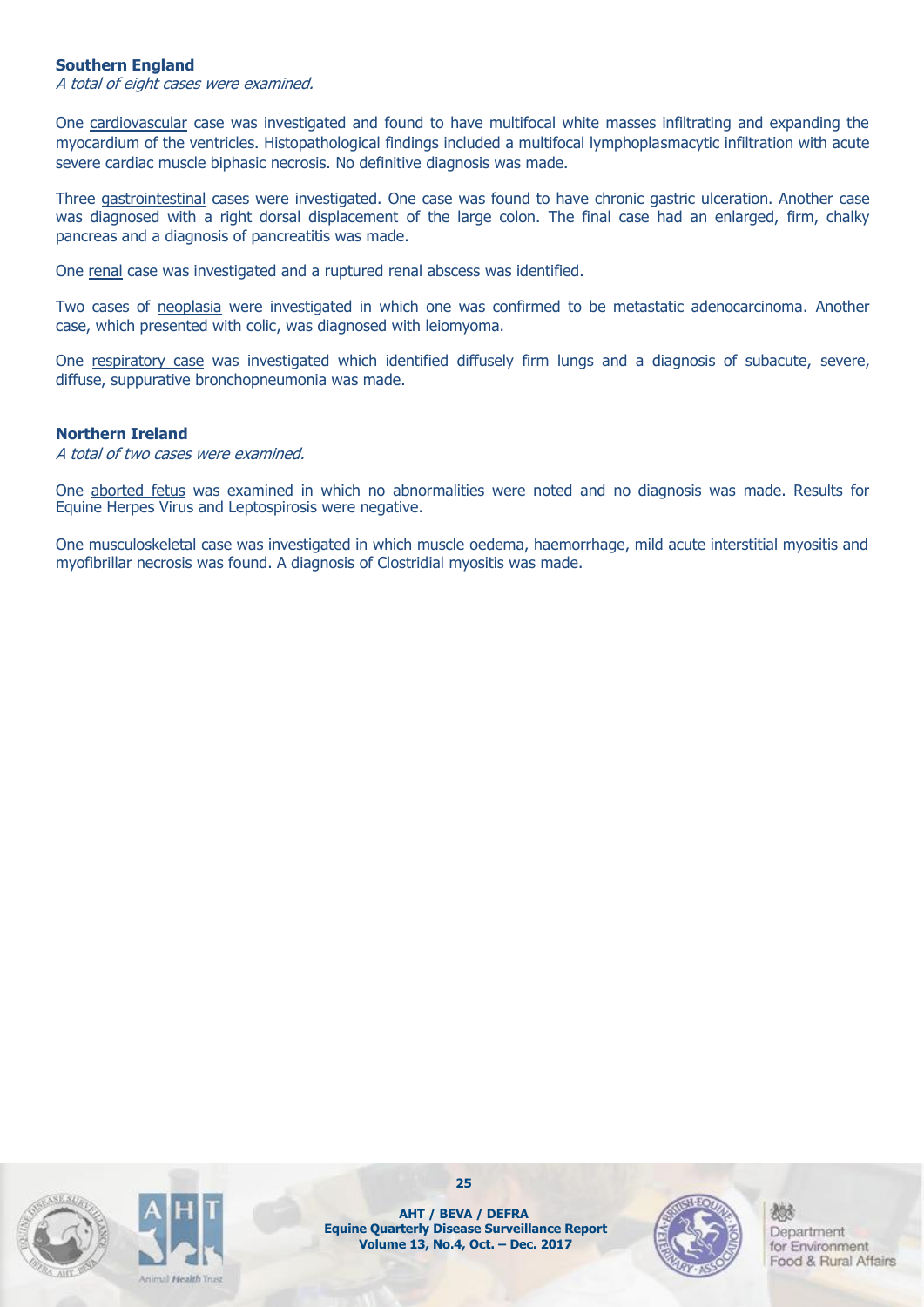#### **Southern England**

A total of eight cases were examined.

One cardiovascular case was investigated and found to have multifocal white masses infiltrating and expanding the myocardium of the ventricles. Histopathological findings included a multifocal lymphoplasmacytic infiltration with acute severe cardiac muscle biphasic necrosis. No definitive diagnosis was made.

Three gastrointestinal cases were investigated. One case was found to have chronic gastric ulceration. Another case was diagnosed with a right dorsal displacement of the large colon. The final case had an enlarged, firm, chalky pancreas and a diagnosis of pancreatitis was made.

One renal case was investigated and a ruptured renal abscess was identified.

Two cases of neoplasia were investigated in which one was confirmed to be metastatic adenocarcinoma. Another case, which presented with colic, was diagnosed with leiomyoma.

One respiratory case was investigated which identified diffusely firm lungs and a diagnosis of subacute, severe, diffuse, suppurative bronchopneumonia was made.

#### **Northern Ireland**

A total of two cases were examined.

One aborted fetus was examined in which no abnormalities were noted and no diagnosis was made. Results for Equine Herpes Virus and Leptospirosis were negative.

One musculoskeletal case was investigated in which muscle oedema, haemorrhage, mild acute interstitial myositis and myofibrillar necrosis was found. A diagnosis of Clostridial myositis was made.





**25**

**AHT / BEVA / DEFRA Equine Quarterly Disease Surveillance Report Volume 13, No.4, Oct. – Dec. 2017**